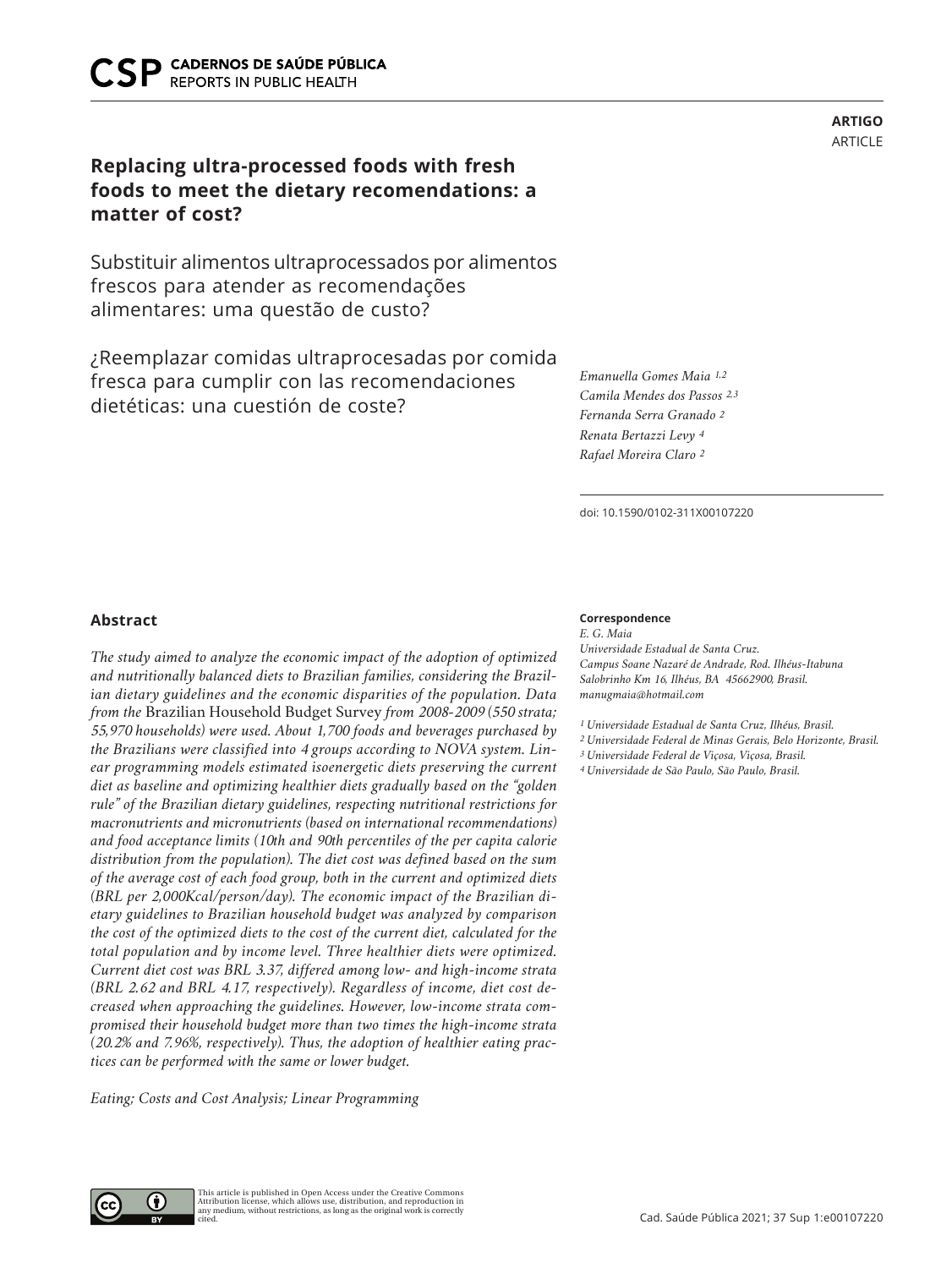# **Replacing ultra-processed foods with fresh foods to meet the dietary recomendations: a matter of cost?**

Substituir alimentos ultraprocessados por alimentos frescos para atender as recomendações alimentares: uma questão de custo?

¿Reemplazar comidas ultraprocesadas por comida fresca para cumplir con las recomendaciones dietéticas: una cuestión de coste?

*Emanuella Gomes Maia 1,2 Camila Mendes dos Passos 2,3 Fernanda Serra Granado 2 Renata Bertazzi Levy 4 Rafael Moreira Claro 2*

doi: 10.1590/0102-311X00107220

# **Abstract**

*The study aimed to analyze the economic impact of the adoption of optimized and nutritionally balanced diets to Brazilian families, considering the Brazilian dietary guidelines and the economic disparities of the population. Data from the* Brazilian Household Budget Survey *from 2008-2009 (550 strata; 55,970 households) were used. About 1,700 foods and beverages purchased by the Brazilians were classified into 4 groups according to NOVA system. Linear programming models estimated isoenergetic diets preserving the current diet as baseline and optimizing healthier diets gradually based on the "golden rule" of the Brazilian dietary guidelines, respecting nutritional restrictions for macronutrients and micronutrients (based on international recommendations) and food acceptance limits (10th and 90th percentiles of the per capita calorie distribution from the population). The diet cost was defined based on the sum of the average cost of each food group, both in the current and optimized diets (BRL per 2,000Kcal/person/day). The economic impact of the Brazilian dietary guidelines to Brazilian household budget was analyzed by comparison the cost of the optimized diets to the cost of the current diet, calculated for the total population and by income level. Three healthier diets were optimized. Current diet cost was BRL 3.37, differed among low- and high-income strata (BRL 2.62 and BRL 4.17, respectively). Regardless of income, diet cost decreased when approaching the guidelines. However, low-income strata compromised their household budget more than two times the high-income strata (20.2% and 7.96%, respectively). Thus, the adoption of healthier eating practices can be performed with the same or lower budget.* 

*Eating; Costs and Cost Analysis; Linear Programming*

# **Correspondence**

*E. G. Maia Universidade Estadual de Santa Cruz. Campus Soane Nazaré de Andrade, Rod. Ilhéus-Itabuna Salobrinho Km 16, Ilhéus, BA 45662900, Brasil. manugmaia@hotmail.com*

*1 Universidade Estadual de Santa Cruz, Ilhéus, Brasil.*

*2 Universidade Federal de Minas Gerais, Belo Horizonte, Brasil.*

*3 Universidade Federal de Viçosa, Viçosa, Brasil. 4 Universidade de São Paulo, São Paulo, Brasil.*

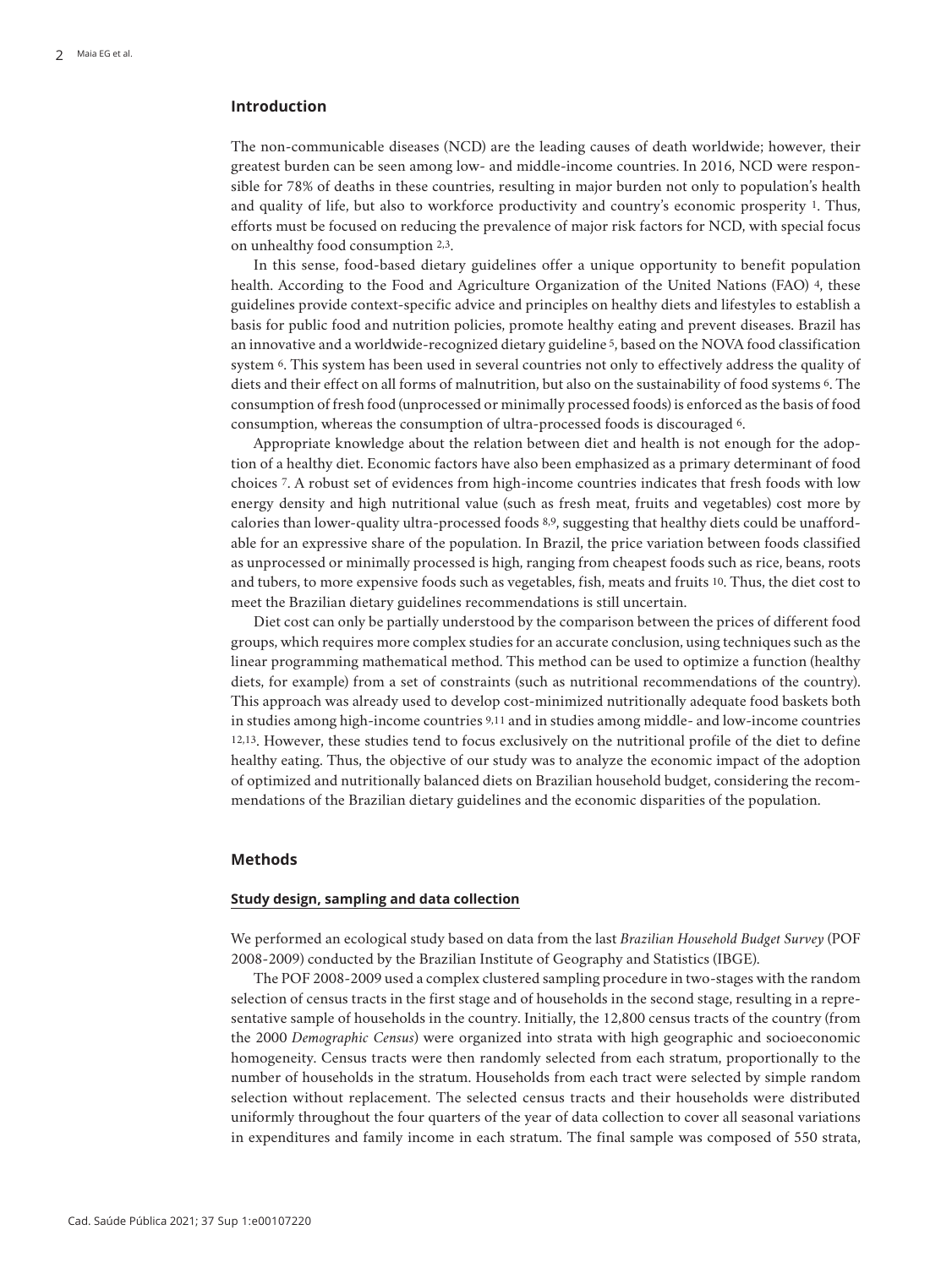# **Introduction**

The non-communicable diseases (NCD) are the leading causes of death worldwide; however, their greatest burden can be seen among low- and middle-income countries. In 2016, NCD were responsible for 78% of deaths in these countries, resulting in major burden not only to population's health and quality of life, but also to workforce productivity and country's economic prosperity 1. Thus, efforts must be focused on reducing the prevalence of major risk factors for NCD, with special focus on unhealthy food consumption 2,3.

In this sense, food-based dietary guidelines offer a unique opportunity to benefit population health. According to the Food and Agriculture Organization of the United Nations (FAO) 4, these guidelines provide context-specific advice and principles on healthy diets and lifestyles to establish a basis for public food and nutrition policies, promote healthy eating and prevent diseases. Brazil has an innovative and a worldwide-recognized dietary guideline 5, based on the NOVA food classification system 6. This system has been used in several countries not only to effectively address the quality of diets and their effect on all forms of malnutrition, but also on the sustainability of food systems 6. The consumption of fresh food (unprocessed or minimally processed foods) is enforced as the basis of food consumption, whereas the consumption of ultra-processed foods is discouraged 6.

Appropriate knowledge about the relation between diet and health is not enough for the adoption of a healthy diet. Economic factors have also been emphasized as a primary determinant of food choices 7. A robust set of evidences from high-income countries indicates that fresh foods with low energy density and high nutritional value (such as fresh meat, fruits and vegetables) cost more by calories than lower-quality ultra-processed foods 8,9, suggesting that healthy diets could be unaffordable for an expressive share of the population. In Brazil, the price variation between foods classified as unprocessed or minimally processed is high, ranging from cheapest foods such as rice, beans, roots and tubers, to more expensive foods such as vegetables, fish, meats and fruits 10. Thus, the diet cost to meet the Brazilian dietary guidelines recommendations is still uncertain.

Diet cost can only be partially understood by the comparison between the prices of different food groups, which requires more complex studies for an accurate conclusion, using techniques such as the linear programming mathematical method. This method can be used to optimize a function (healthy diets, for example) from a set of constraints (such as nutritional recommendations of the country). This approach was already used to develop cost-minimized nutritionally adequate food baskets both in studies among high-income countries 9,11 and in studies among middle- and low-income countries 12,13. However, these studies tend to focus exclusively on the nutritional profile of the diet to define healthy eating. Thus, the objective of our study was to analyze the economic impact of the adoption of optimized and nutritionally balanced diets on Brazilian household budget, considering the recommendations of the Brazilian dietary guidelines and the economic disparities of the population.

#### **Methods**

#### **Study design, sampling and data collection**

We performed an ecological study based on data from the last *Brazilian Household Budget Survey* (POF 2008-2009) conducted by the Brazilian Institute of Geography and Statistics (IBGE).

The POF 2008-2009 used a complex clustered sampling procedure in two-stages with the random selection of census tracts in the first stage and of households in the second stage, resulting in a representative sample of households in the country. Initially, the 12,800 census tracts of the country (from the 2000 *Demographic Census*) were organized into strata with high geographic and socioeconomic homogeneity. Census tracts were then randomly selected from each stratum, proportionally to the number of households in the stratum. Households from each tract were selected by simple random selection without replacement. The selected census tracts and their households were distributed uniformly throughout the four quarters of the year of data collection to cover all seasonal variations in expenditures and family income in each stratum. The final sample was composed of 550 strata,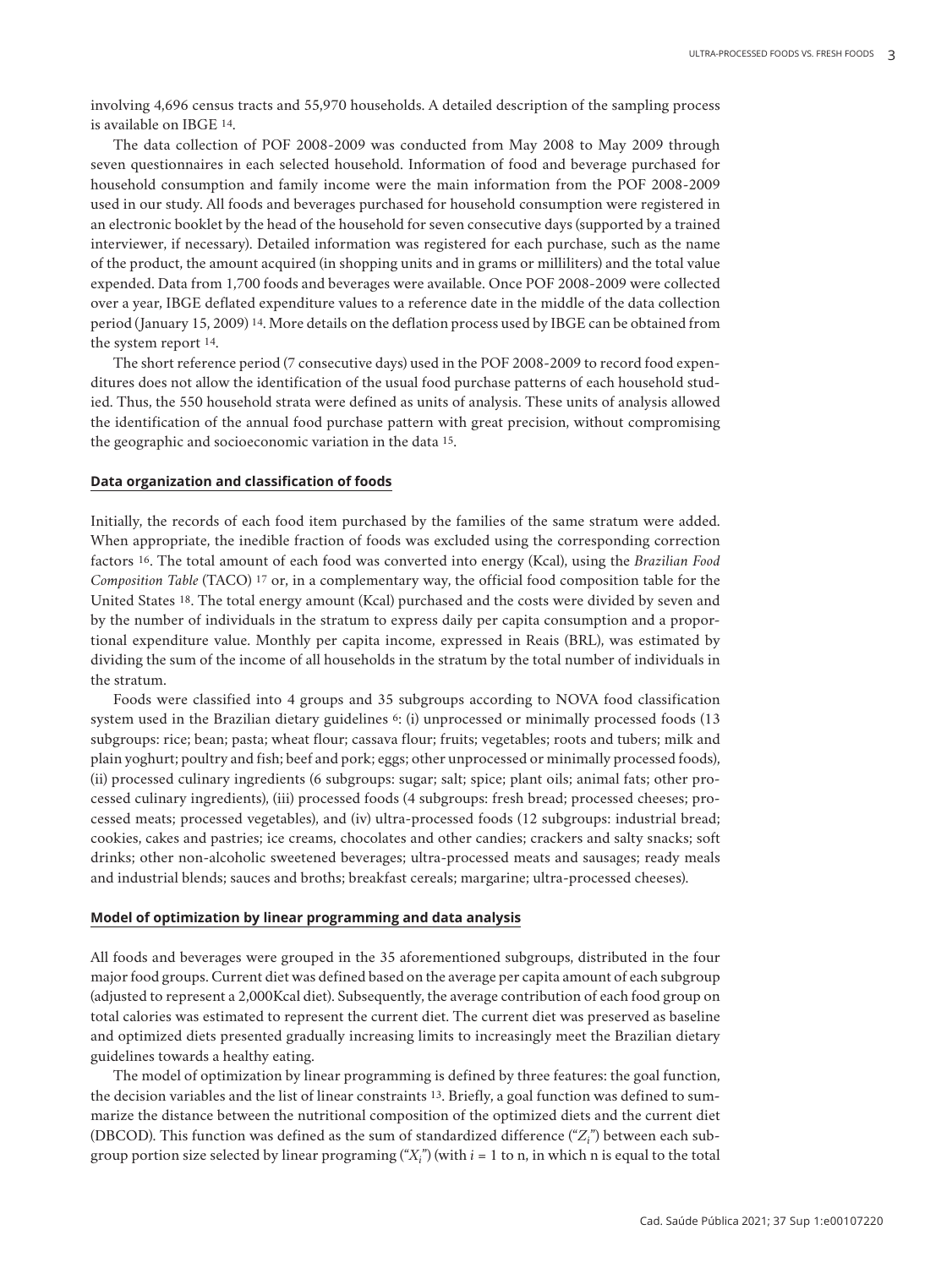involving 4,696 census tracts and 55,970 households. A detailed description of the sampling process is available on IBGE 14.

The data collection of POF 2008-2009 was conducted from May 2008 to May 2009 through seven questionnaires in each selected household. Information of food and beverage purchased for household consumption and family income were the main information from the POF 2008-2009 used in our study. All foods and beverages purchased for household consumption were registered in an electronic booklet by the head of the household for seven consecutive days (supported by a trained interviewer, if necessary). Detailed information was registered for each purchase, such as the name of the product, the amount acquired (in shopping units and in grams or milliliters) and the total value expended. Data from 1,700 foods and beverages were available. Once POF 2008-2009 were collected over a year, IBGE deflated expenditure values to a reference date in the middle of the data collection period (January 15, 2009) 14. More details on the deflation process used by IBGE can be obtained from the system report 14.

The short reference period (7 consecutive days) used in the POF 2008-2009 to record food expenditures does not allow the identification of the usual food purchase patterns of each household studied. Thus, the 550 household strata were defined as units of analysis. These units of analysis allowed the identification of the annual food purchase pattern with great precision, without compromising the geographic and socioeconomic variation in the data 15.

#### **Data organization and classification of foods**

Initially, the records of each food item purchased by the families of the same stratum were added. When appropriate, the inedible fraction of foods was excluded using the corresponding correction factors 16. The total amount of each food was converted into energy (Kcal), using the *Brazilian Food Composition Table* (TACO) 17 or, in a complementary way, the official food composition table for the United States 18. The total energy amount (Kcal) purchased and the costs were divided by seven and by the number of individuals in the stratum to express daily per capita consumption and a proportional expenditure value. Monthly per capita income, expressed in Reais (BRL), was estimated by dividing the sum of the income of all households in the stratum by the total number of individuals in the stratum.

Foods were classified into 4 groups and 35 subgroups according to NOVA food classification system used in the Brazilian dietary guidelines 6: (i) unprocessed or minimally processed foods (13 subgroups: rice; bean; pasta; wheat flour; cassava flour; fruits; vegetables; roots and tubers; milk and plain yoghurt; poultry and fish; beef and pork; eggs; other unprocessed or minimally processed foods), (ii) processed culinary ingredients (6 subgroups: sugar; salt; spice; plant oils; animal fats; other processed culinary ingredients), (iii) processed foods (4 subgroups: fresh bread; processed cheeses; processed meats; processed vegetables), and (iv) ultra-processed foods (12 subgroups: industrial bread; cookies, cakes and pastries; ice creams, chocolates and other candies; crackers and salty snacks; soft drinks; other non-alcoholic sweetened beverages; ultra-processed meats and sausages; ready meals and industrial blends; sauces and broths; breakfast cereals; margarine; ultra-processed cheeses).

#### **Model of optimization by linear programming and data analysis**

All foods and beverages were grouped in the 35 aforementioned subgroups, distributed in the four major food groups. Current diet was defined based on the average per capita amount of each subgroup (adjusted to represent a 2,000Kcal diet). Subsequently, the average contribution of each food group on total calories was estimated to represent the current diet. The current diet was preserved as baseline and optimized diets presented gradually increasing limits to increasingly meet the Brazilian dietary guidelines towards a healthy eating.

The model of optimization by linear programming is defined by three features: the goal function, the decision variables and the list of linear constraints 13. Briefly, a goal function was defined to summarize the distance between the nutritional composition of the optimized diets and the current diet (DBCOD). This function was defined as the sum of standardized difference ("*Zi* ") between each subgroup portion size selected by linear programing  $(\mathfrak{A}_i^r)$  (with  $i=1$  to n, in which n is equal to the total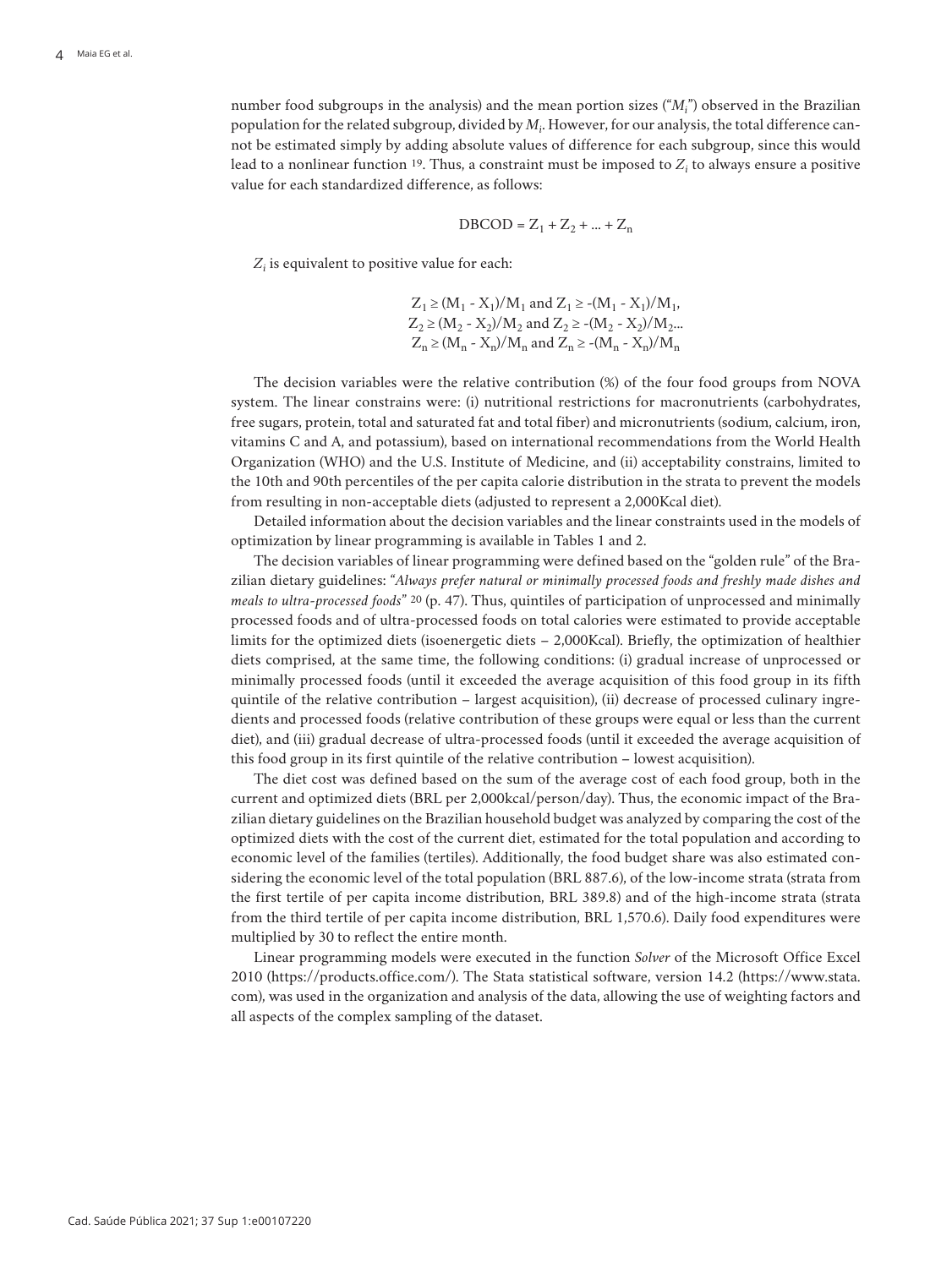number food subgroups in the analysis) and the mean portion sizes ("*Mi* ") observed in the Brazilian population for the related subgroup, divided by *Mi* . However, for our analysis, the total difference cannot be estimated simply by adding absolute values of difference for each subgroup, since this would lead to a nonlinear function  $19$ . Thus, a constraint must be imposed to  $Z_i$  to always ensure a positive value for each standardized difference, as follows:

$$
DBCOD = Z_1 + Z_2 + \dots + Z_n
$$

*Zi* is equivalent to positive value for each:

 $Z_1 \geq (M_1 - X_1)/M_1$  and  $Z_1 \geq -(M_1 - X_1)/M_1$ ,  $Z_2 \geq (M_2 - X_2)/M_2$  and  $Z_2 \geq -(M_2 - X_2)/M_2...$  $Z_n \geq (M_n - X_n)/M_n$  and  $Z_n \geq -(M_n - X_n)/M_n$ 

The decision variables were the relative contribution (%) of the four food groups from NOVA system. The linear constrains were: (i) nutritional restrictions for macronutrients (carbohydrates, free sugars, protein, total and saturated fat and total fiber) and micronutrients (sodium, calcium, iron, vitamins C and A, and potassium), based on international recommendations from the World Health Organization (WHO) and the U.S. Institute of Medicine, and (ii) acceptability constrains, limited to the 10th and 90th percentiles of the per capita calorie distribution in the strata to prevent the models from resulting in non-acceptable diets (adjusted to represent a 2,000Kcal diet).

Detailed information about the decision variables and the linear constraints used in the models of optimization by linear programming is available in Tables 1 and 2.

The decision variables of linear programming were defined based on the "golden rule" of the Brazilian dietary guidelines: "*Always prefer natural or minimally processed foods and freshly made dishes and meals to ultra-processed foods*" 20 (p. 47). Thus, quintiles of participation of unprocessed and minimally processed foods and of ultra-processed foods on total calories were estimated to provide acceptable limits for the optimized diets (isoenergetic diets – 2,000Kcal). Briefly, the optimization of healthier diets comprised, at the same time, the following conditions: (i) gradual increase of unprocessed or minimally processed foods (until it exceeded the average acquisition of this food group in its fifth quintile of the relative contribution – largest acquisition), (ii) decrease of processed culinary ingredients and processed foods (relative contribution of these groups were equal or less than the current diet), and (iii) gradual decrease of ultra-processed foods (until it exceeded the average acquisition of this food group in its first quintile of the relative contribution – lowest acquisition).

The diet cost was defined based on the sum of the average cost of each food group, both in the current and optimized diets (BRL per 2,000kcal/person/day). Thus, the economic impact of the Brazilian dietary guidelines on the Brazilian household budget was analyzed by comparing the cost of the optimized diets with the cost of the current diet, estimated for the total population and according to economic level of the families (tertiles). Additionally, the food budget share was also estimated considering the economic level of the total population (BRL 887.6), of the low-income strata (strata from the first tertile of per capita income distribution, BRL 389.8) and of the high-income strata (strata from the third tertile of per capita income distribution, BRL 1,570.6). Daily food expenditures were multiplied by 30 to reflect the entire month.

Linear programming models were executed in the function *Solver* of the Microsoft Office Excel 2010 (https://products.office.com/). The Stata statistical software, version 14.2 (https://www.stata. com), was used in the organization and analysis of the data, allowing the use of weighting factors and all aspects of the complex sampling of the dataset.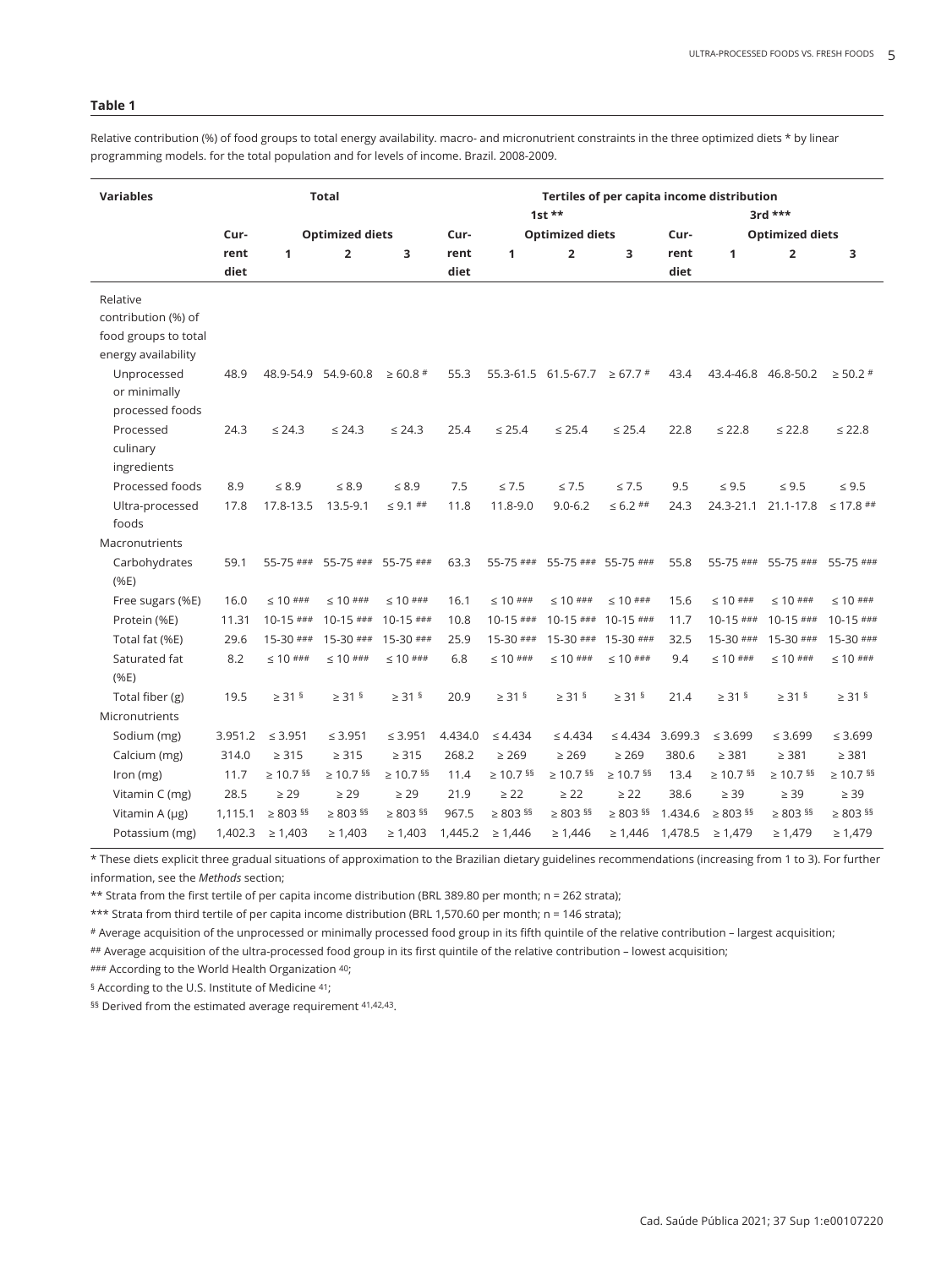Relative contribution (%) of food groups to total energy availability. macro- and micronutrient constraints in the three optimized diets \* by linear programming models. for the total population and for levels of income. Brazil. 2008-2009.

| <b>Variables</b>             | <b>Total</b>                              |                |                      |                          |                         |                        | 1st $**$                                | Tertiles of per capita income distribution<br>3rd *** |                |                |                     |                |  |
|------------------------------|-------------------------------------------|----------------|----------------------|--------------------------|-------------------------|------------------------|-----------------------------------------|-------------------------------------------------------|----------------|----------------|---------------------|----------------|--|
|                              | <b>Optimized diets</b><br>Cur-            |                |                      | Cur-                     |                         | <b>Optimized diets</b> |                                         | <b>Optimized diets</b><br>Cur-                        |                |                |                     |                |  |
|                              | rent<br>$\overline{\mathbf{2}}$<br>3<br>1 |                | rent                 | 1                        | $\overline{\mathbf{2}}$ | 3                      | rent                                    | 1                                                     | $\overline{2}$ |                |                     |                |  |
|                              | diet                                      |                |                      |                          | diet                    |                        |                                         |                                                       | diet           |                |                     | з              |  |
|                              |                                           |                |                      |                          |                         |                        |                                         |                                                       |                |                |                     |                |  |
| Relative                     |                                           |                |                      |                          |                         |                        |                                         |                                                       |                |                |                     |                |  |
| contribution (%) of          |                                           |                |                      |                          |                         |                        |                                         |                                                       |                |                |                     |                |  |
| food groups to total         |                                           |                |                      |                          |                         |                        |                                         |                                                       |                |                |                     |                |  |
| energy availability          |                                           |                |                      |                          |                         |                        |                                         |                                                       |                |                |                     |                |  |
| Unprocessed                  | 48.9                                      |                | 48.9-54.9 54.9-60.8  | $\geq 60.8$ #            | 55.3                    |                        | $55.3 - 61.5$ 61.5 - 67.7 $\geq 67.7$ # |                                                       | 43.4           |                | 43.4-46.8 46.8-50.2 | $\geq 50.2$ #  |  |
| or minimally                 |                                           |                |                      |                          |                         |                        |                                         |                                                       |                |                |                     |                |  |
| processed foods<br>Processed | 24.3                                      | $\leq 24.3$    | $\leq 24.3$          | $\leq 24.3$              | 25.4                    | $\leq 25.4$            | $\leq 25.4$                             | $\leq 25.4$                                           | 22.8           | $\leq 22.8$    | $\leq 22.8$         | $\leq 22.8$    |  |
| culinary                     |                                           |                |                      |                          |                         |                        |                                         |                                                       |                |                |                     |                |  |
| ingredients                  |                                           |                |                      |                          |                         |                        |                                         |                                                       |                |                |                     |                |  |
| Processed foods              | 8.9                                       | $\leq 8.9$     | $\leq 8.9$           | $\leq 8.9$               | 7.5                     | $\leq 7.5$             | $\leq 7.5$                              | $\leq 7.5$                                            | 9.5            | $\leq 9.5$     | $\leq 9.5$          | $\leq 9.5$     |  |
| Ultra-processed              | 17.8                                      | 17.8-13.5      | 13.5-9.1             | $\leq$ 9.1 ##            | 11.8                    | 11.8-9.0               | $9.0 - 6.2$                             | $\leq 6.2$ ##                                         | 24.3           | 24.3-21.1      | 21.1-17.8           | $\leq$ 17.8 ## |  |
| foods                        |                                           |                |                      |                          |                         |                        |                                         |                                                       |                |                |                     |                |  |
| Macronutrients               |                                           |                |                      |                          |                         |                        |                                         |                                                       |                |                |                     |                |  |
| Carbohydrates                | 59.1                                      | 55-75 ###      | 55-75 ###            | 55-75 ###                | 63.3                    | 55-75 ###              |                                         | 55-75 ### 55-75 ###                                   | 55.8           | 55-75 ###      | 55-75 ###           | 55-75 ###      |  |
| (%E)                         |                                           |                |                      |                          |                         |                        |                                         |                                                       |                |                |                     |                |  |
| Free sugars (%E)             | 16.0                                      | $\leq 10$ ###  | $\leq 10$ ###        | $\leq 10$ ###            | 16.1                    | $\leq 10$ ###          | $\leq 10$ ###                           | $\leq 10$ ###                                         | 15.6           | $\leq 10$ ###  | $\leq 10$ ###       | $\leq 10$ ###  |  |
| Protein (%E)                 | 11.31                                     | $10-15$ ###    | $10-15$ ###          | $10-15$ ###              | 10.8                    | $10-15$ ###            | $10-15$ ###                             | $10-15$ ###                                           | 11.7           | $10-15$ ###    | $10-15$ ###         | $10-15$ ###    |  |
| Total fat (%E)               | 29.6                                      | $15-30$ ###    | $15-30$ ###          | $15-30$ ###              | 25.9                    | $15-30$ ###            | $15-30$ ###                             | $15-30$ ###                                           | 32.5           | $15-30$ ###    | $15-30$ ###         | 15-30 ###      |  |
| Saturated fat                | 8.2                                       | $\leq 10$ ###  | $\leq 10$ ###        | $\leq 10$ ###            | 6.8                     | $\leq 10$ ###          | $\leq 10$ ###                           | $\leq 10$ ###                                         | 9.4            | $\leq 10$ ###  | $\leq 10$ ###       | $\leq 10$ ###  |  |
| (%E)                         |                                           |                |                      |                          |                         |                        |                                         |                                                       |                |                |                     |                |  |
| Total fiber (g)              | 19.5                                      | $\geq$ 31 §    | $\geq$ 31 §          | $\geq$ 31 §              | 20.9                    | $\geq$ 31 §            | $\geq$ 31 §                             | $\geq$ 31 §                                           | 21.4           | $\geq$ 31 §    | $\geq$ 31 §         | $\geq$ 31 §    |  |
| Micronutrients               |                                           |                |                      |                          |                         |                        |                                         |                                                       |                |                |                     |                |  |
| Sodium (mg)                  | 3.951.2                                   | $\leq 3.951$   | $\leq 3.951$         | $\leq 3.951$             | 4.434.0                 | $\leq 4.434$           | $\leq 4.434$                            | $\leq 4.434$                                          | 3.699.3        | $\leq 3.699$   | $\leq 3.699$        | $\leq 3.699$   |  |
| Calcium (mg)                 | 314.0                                     | $\geq$ 315     | $\geq 315$           | $\geq$ 315               | 268.2                   | $\geq 269$             | $\geq 269$                              | $\geq 269$                                            | 380.6          | $\geq 381$     | $\geq 381$          | $\geq$ 381     |  |
|                              | 11.7                                      | $\geq 10.7$ §§ | $\geq 10.7$ §§       | $\geq 10.7$ §§           | 11.4                    | $\geq 10.7$ §§         | $\geq 10.7$ §§                          | $\geq 10.7$ §§                                        | 13.4           | $\geq 10.7$ §§ | $\geq 10.7$ §§      | $\geq 10.7$ §§ |  |
| Iron (mg)                    |                                           |                |                      |                          |                         |                        |                                         |                                                       |                |                |                     |                |  |
| Vitamin C (mg)               | 28.5                                      | $\geq 29$      | $\geq 29$            | $\geq 29$                | 21.9                    | $\geq$ 22              | $\geq$ 22                               | $\geq$ 22                                             | 38.6           | $\geq 39$      | $\geq$ 39           | $\geq$ 39      |  |
| Vitamin A (µg)               | 1,115.1                                   | $\geq 803$ §§  | $\geq$ 803 $^{\S\S}$ | $\geq 803$ <sup>55</sup> | 967.5                   | $\geq 803$ §§          | $\geq 803$ §§                           | $\geq 803$ <sup>55</sup>                              | 1.434.6        | $\geq 803$ §§  | $\geq 803$ §§       | $\geq 803$ §§  |  |
| Potassium (mg)               | 1,402.3                                   | $\geq 1,403$   | $\geq 1,403$         | $\geq 1,403$             | 1,445.2                 | $\geq 1,446$           | $\geq 1,446$                            | $\geq 1,446$                                          | 1,478.5        | $\geq 1,479$   | $\geq 1,479$        | $\geq 1,479$   |  |

\* These diets explicit three gradual situations of approximation to the Brazilian dietary guidelines recommendations (increasing from 1 to 3). For further information, see the *Methods* section;

\*\* Strata from the first tertile of per capita income distribution (BRL 389.80 per month; n = 262 strata);

\*\*\* Strata from third tertile of per capita income distribution (BRL 1,570.60 per month; n = 146 strata);

# Average acquisition of the unprocessed or minimally processed food group in its fifth quintile of the relative contribution – largest acquisition;

## Average acquisition of the ultra-processed food group in its first quintile of the relative contribution – lowest acquisition;

### According to the World Health Organization 40;

§ According to the U.S. Institute of Medicine 41;

§§ Derived from the estimated average requirement 41,42,43.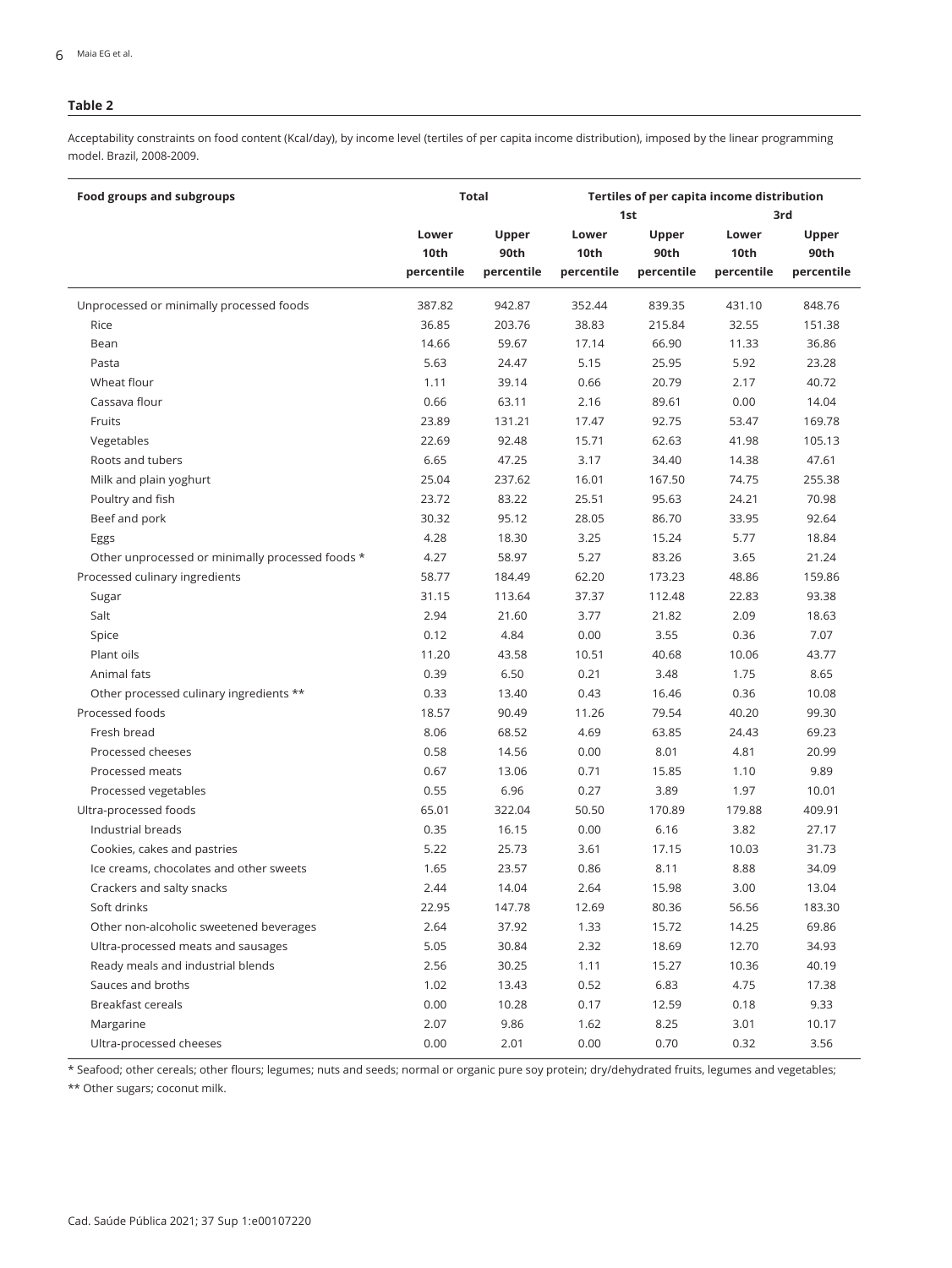Acceptability constraints on food content (Kcal/day), by income level (tertiles of per capita income distribution), imposed by the linear programming model. Brazil, 2008-2009.

| Food groups and subgroups                        |                             | Total                       | Tertiles of per capita income distribution<br>1st<br>3rd |                             |                             |                             |  |  |  |
|--------------------------------------------------|-----------------------------|-----------------------------|----------------------------------------------------------|-----------------------------|-----------------------------|-----------------------------|--|--|--|
|                                                  | Lower<br>10th<br>percentile | Upper<br>90th<br>percentile | Lower<br>10th<br>percentile                              | Upper<br>90th<br>percentile | Lower<br>10th<br>percentile | Upper<br>90th<br>percentile |  |  |  |
| Unprocessed or minimally processed foods         | 387.82                      | 942.87                      | 352.44                                                   | 839.35                      | 431.10                      | 848.76                      |  |  |  |
| Rice                                             | 36.85                       | 203.76                      | 38.83                                                    | 215.84                      | 32.55                       | 151.38                      |  |  |  |
| Bean                                             | 14.66                       | 59.67                       | 17.14                                                    | 66.90                       | 11.33                       | 36.86                       |  |  |  |
| Pasta                                            | 5.63                        | 24.47                       | 5.15                                                     | 25.95                       | 5.92                        | 23.28                       |  |  |  |
| Wheat flour                                      | 1.11                        | 39.14                       | 0.66                                                     | 20.79                       | 2.17                        | 40.72                       |  |  |  |
| Cassava flour                                    | 0.66                        | 63.11                       | 2.16                                                     | 89.61                       | 0.00                        | 14.04                       |  |  |  |
| Fruits                                           | 23.89                       | 131.21                      | 17.47                                                    | 92.75                       | 53.47                       | 169.78                      |  |  |  |
| Vegetables                                       | 22.69                       | 92.48                       | 15.71                                                    | 62.63                       | 41.98                       | 105.13                      |  |  |  |
| Roots and tubers                                 | 6.65                        | 47.25                       | 3.17                                                     | 34.40                       | 14.38                       | 47.61                       |  |  |  |
| Milk and plain yoghurt                           | 25.04                       | 237.62                      | 16.01                                                    | 167.50                      | 74.75                       | 255.38                      |  |  |  |
| Poultry and fish                                 | 23.72                       | 83.22                       | 25.51                                                    | 95.63                       | 24.21                       | 70.98                       |  |  |  |
| Beef and pork                                    | 30.32                       | 95.12                       | 28.05                                                    | 86.70                       | 33.95                       | 92.64                       |  |  |  |
| Eggs                                             | 4.28                        | 18.30                       | 3.25                                                     | 15.24                       | 5.77                        | 18.84                       |  |  |  |
| Other unprocessed or minimally processed foods * | 4.27                        | 58.97                       | 5.27                                                     | 83.26                       | 3.65                        | 21.24                       |  |  |  |
| Processed culinary ingredients                   | 58.77                       | 184.49                      | 62.20                                                    | 173.23                      | 48.86                       | 159.86                      |  |  |  |
| Sugar                                            | 31.15                       | 113.64                      | 37.37                                                    | 112.48                      | 22.83                       | 93.38                       |  |  |  |
| Salt                                             | 2.94                        | 21.60                       | 3.77                                                     | 21.82                       | 2.09                        | 18.63                       |  |  |  |
| Spice                                            | 0.12                        | 4.84                        | 0.00                                                     | 3.55                        | 0.36                        | 7.07                        |  |  |  |
| Plant oils                                       | 11.20                       | 43.58                       | 10.51                                                    | 40.68                       | 10.06                       | 43.77                       |  |  |  |
| Animal fats                                      | 0.39                        | 6.50                        | 0.21                                                     | 3.48                        | 1.75                        | 8.65                        |  |  |  |
| Other processed culinary ingredients **          | 0.33                        | 13.40                       | 0.43                                                     | 16.46                       | 0.36                        | 10.08                       |  |  |  |
| Processed foods                                  | 18.57                       | 90.49                       | 11.26                                                    | 79.54                       | 40.20                       | 99.30                       |  |  |  |
| Fresh bread                                      | 8.06                        | 68.52                       | 4.69                                                     | 63.85                       | 24.43                       | 69.23                       |  |  |  |
| Processed cheeses                                | 0.58                        | 14.56                       | 0.00                                                     | 8.01                        | 4.81                        | 20.99                       |  |  |  |
| Processed meats                                  | 0.67                        | 13.06                       | 0.71                                                     | 15.85                       | 1.10                        | 9.89                        |  |  |  |
| Processed vegetables                             | 0.55                        | 6.96                        | 0.27                                                     | 3.89                        | 1.97                        | 10.01                       |  |  |  |
| Ultra-processed foods                            | 65.01                       | 322.04                      | 50.50                                                    | 170.89                      | 179.88                      | 409.91                      |  |  |  |
| Industrial breads                                | 0.35                        | 16.15                       | 0.00                                                     | 6.16                        | 3.82                        | 27.17                       |  |  |  |
| Cookies, cakes and pastries                      | 5.22                        | 25.73                       | 3.61                                                     | 17.15                       | 10.03                       | 31.73                       |  |  |  |
| Ice creams, chocolates and other sweets          | 1.65                        | 23.57                       | 0.86                                                     | 8.11                        | 8.88                        | 34.09                       |  |  |  |
| Crackers and salty snacks                        | 2.44                        | 14.04                       | 2.64                                                     | 15.98                       | 3.00                        | 13.04                       |  |  |  |
| Soft drinks                                      | 22.95                       | 147.78                      | 12.69                                                    | 80.36                       | 56.56                       | 183.30                      |  |  |  |
| Other non-alcoholic sweetened beverages          | 2.64                        | 37.92                       | 1.33                                                     | 15.72                       | 14.25                       | 69.86                       |  |  |  |
| Ultra-processed meats and sausages               | 5.05                        | 30.84                       | 2.32                                                     | 18.69                       | 12.70                       | 34.93                       |  |  |  |
| Ready meals and industrial blends                | 2.56                        | 30.25                       | 1.11                                                     | 15.27                       | 10.36                       | 40.19                       |  |  |  |
| Sauces and broths                                | 1.02                        | 13.43                       | 0.52                                                     | 6.83                        | 4.75                        | 17.38                       |  |  |  |
| <b>Breakfast cereals</b>                         | 0.00                        | 10.28                       | 0.17                                                     | 12.59                       | 0.18                        | 9.33                        |  |  |  |
| Margarine                                        | 2.07                        | 9.86                        | 1.62                                                     | 8.25                        | 3.01                        | 10.17                       |  |  |  |
| Ultra-processed cheeses                          | 0.00                        | 2.01                        | 0.00                                                     | 0.70                        | 0.32                        | 3.56                        |  |  |  |

\* Seafood; other cereals; other flours; legumes; nuts and seeds; normal or organic pure soy protein; dry/dehydrated fruits, legumes and vegetables;

\*\* Other sugars; coconut milk.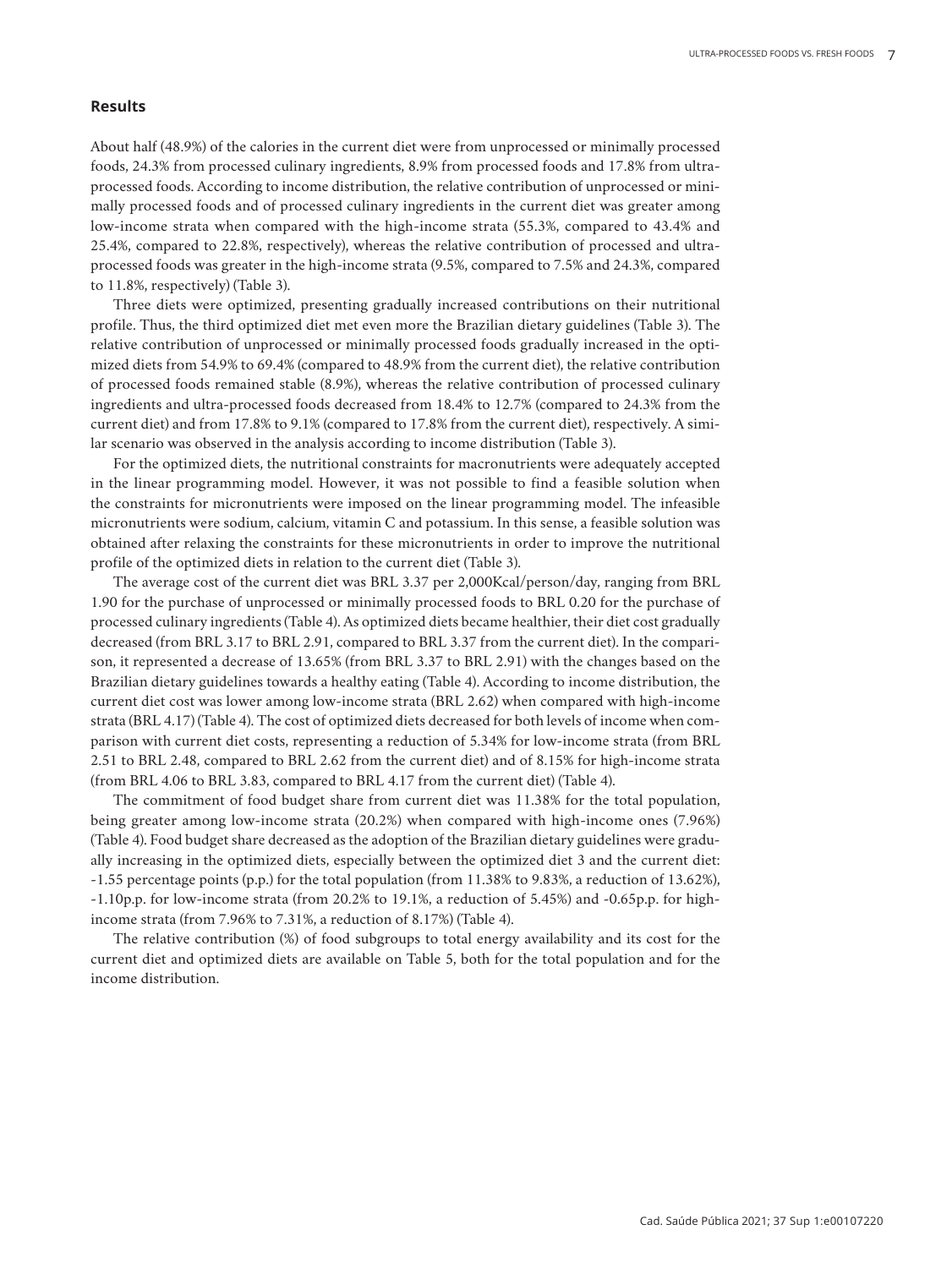## **Results**

About half (48.9%) of the calories in the current diet were from unprocessed or minimally processed foods, 24.3% from processed culinary ingredients, 8.9% from processed foods and 17.8% from ultraprocessed foods. According to income distribution, the relative contribution of unprocessed or minimally processed foods and of processed culinary ingredients in the current diet was greater among low-income strata when compared with the high-income strata (55.3%, compared to 43.4% and 25.4%, compared to 22.8%, respectively), whereas the relative contribution of processed and ultraprocessed foods was greater in the high-income strata (9.5%, compared to 7.5% and 24.3%, compared to 11.8%, respectively) (Table 3).

Three diets were optimized, presenting gradually increased contributions on their nutritional profile. Thus, the third optimized diet met even more the Brazilian dietary guidelines (Table 3). The relative contribution of unprocessed or minimally processed foods gradually increased in the optimized diets from 54.9% to 69.4% (compared to 48.9% from the current diet), the relative contribution of processed foods remained stable (8.9%), whereas the relative contribution of processed culinary ingredients and ultra-processed foods decreased from 18.4% to 12.7% (compared to 24.3% from the current diet) and from 17.8% to 9.1% (compared to 17.8% from the current diet), respectively. A similar scenario was observed in the analysis according to income distribution (Table 3).

For the optimized diets, the nutritional constraints for macronutrients were adequately accepted in the linear programming model. However, it was not possible to find a feasible solution when the constraints for micronutrients were imposed on the linear programming model. The infeasible micronutrients were sodium, calcium, vitamin C and potassium. In this sense, a feasible solution was obtained after relaxing the constraints for these micronutrients in order to improve the nutritional profile of the optimized diets in relation to the current diet (Table 3).

The average cost of the current diet was BRL 3.37 per 2,000Kcal/person/day, ranging from BRL 1.90 for the purchase of unprocessed or minimally processed foods to BRL 0.20 for the purchase of processed culinary ingredients (Table 4). As optimized diets became healthier, their diet cost gradually decreased (from BRL 3.17 to BRL 2.91, compared to BRL 3.37 from the current diet). In the comparison, it represented a decrease of 13.65% (from BRL 3.37 to BRL 2.91) with the changes based on the Brazilian dietary guidelines towards a healthy eating (Table 4). According to income distribution, the current diet cost was lower among low-income strata (BRL 2.62) when compared with high-income strata (BRL 4.17) (Table 4). The cost of optimized diets decreased for both levels of income when comparison with current diet costs, representing a reduction of 5.34% for low-income strata (from BRL 2.51 to BRL 2.48, compared to BRL 2.62 from the current diet) and of 8.15% for high-income strata (from BRL 4.06 to BRL 3.83, compared to BRL 4.17 from the current diet) (Table 4).

The commitment of food budget share from current diet was 11.38% for the total population, being greater among low-income strata (20.2%) when compared with high-income ones (7.96%) (Table 4). Food budget share decreased as the adoption of the Brazilian dietary guidelines were gradually increasing in the optimized diets, especially between the optimized diet 3 and the current diet: -1.55 percentage points (p.p.) for the total population (from 11.38% to 9.83%, a reduction of 13.62%), -1.10p.p. for low-income strata (from 20.2% to 19.1%, a reduction of 5.45%) and -0.65p.p. for highincome strata (from 7.96% to 7.31%, a reduction of 8.17%) (Table 4).

The relative contribution (%) of food subgroups to total energy availability and its cost for the current diet and optimized diets are available on Table 5, both for the total population and for the income distribution.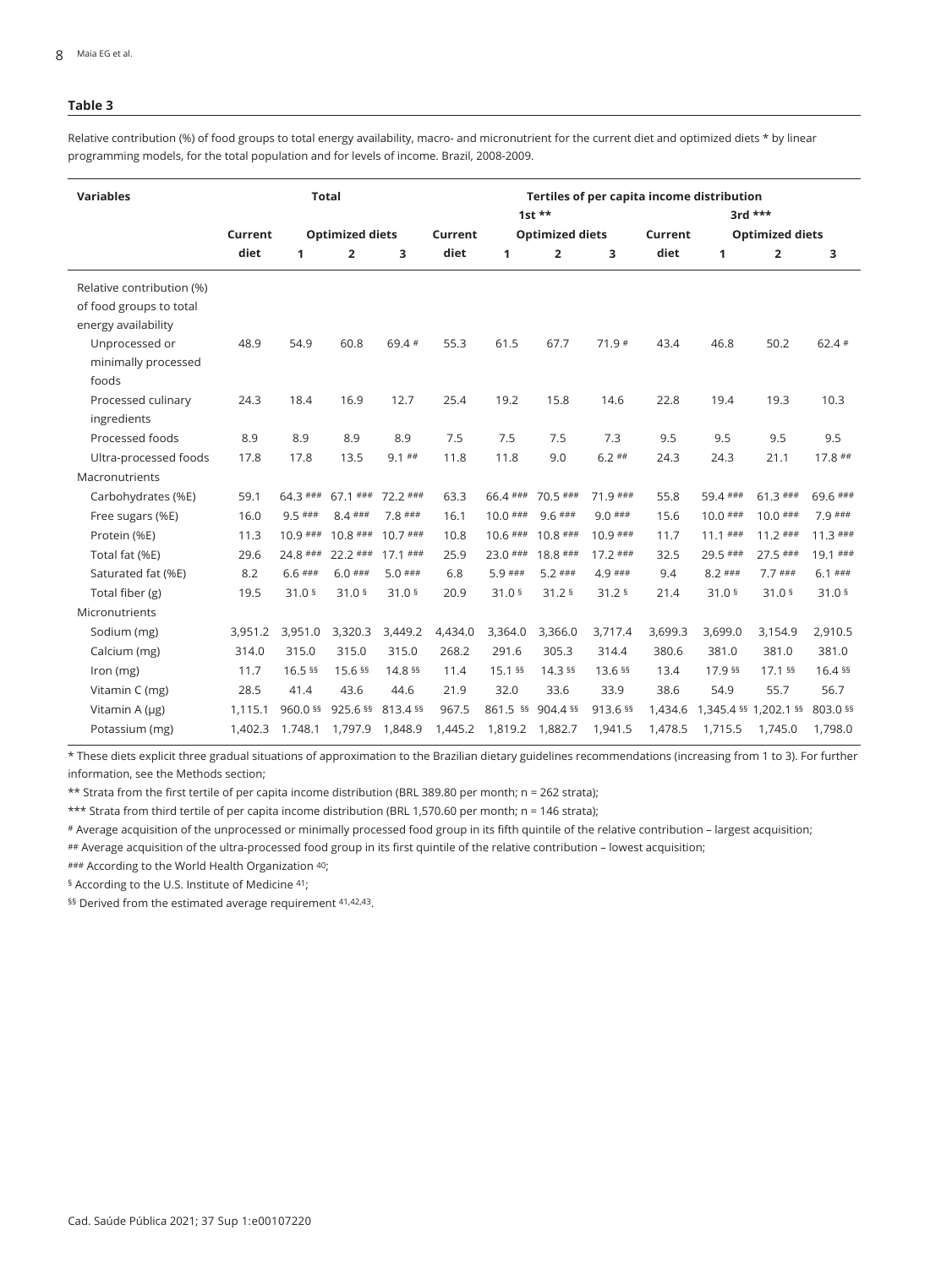Relative contribution (%) of food groups to total energy availability, macro- and micronutrient for the current diet and optimized diets \* by linear programming models, for the total population and for levels of income. Brazil, 2008-2009.

| <b>Variables</b>          |                                   |                   | <b>Total</b>      |                   | Tertiles of per capita income distribution |                   |                   |                   |         |                        |                         |                   |  |  |
|---------------------------|-----------------------------------|-------------------|-------------------|-------------------|--------------------------------------------|-------------------|-------------------|-------------------|---------|------------------------|-------------------------|-------------------|--|--|
|                           |                                   |                   |                   |                   |                                            |                   | $1st$ **          |                   |         |                        | $3rd$ ***               |                   |  |  |
|                           | <b>Optimized diets</b><br>Current |                   |                   | Current           | <b>Optimized diets</b>                     |                   |                   |                   | Current | <b>Optimized diets</b> |                         |                   |  |  |
|                           | diet                              | 1                 | $\overline{2}$    | 3                 | diet                                       | $\mathbf{1}$      | $\overline{2}$    | 3                 | diet    | 1                      | $\overline{\mathbf{2}}$ | з                 |  |  |
| Relative contribution (%) |                                   |                   |                   |                   |                                            |                   |                   |                   |         |                        |                         |                   |  |  |
| of food groups to total   |                                   |                   |                   |                   |                                            |                   |                   |                   |         |                        |                         |                   |  |  |
| energy availability       |                                   |                   |                   |                   |                                            |                   |                   |                   |         |                        |                         |                   |  |  |
| Unprocessed or            | 48.9                              | 54.9              | 60.8              | 69.4 #            | 55.3                                       | 61.5              | 67.7              | $71.9*$           | 43.4    | 46.8                   | 50.2                    | $62.4*$           |  |  |
| minimally processed       |                                   |                   |                   |                   |                                            |                   |                   |                   |         |                        |                         |                   |  |  |
| foods                     |                                   |                   |                   |                   |                                            |                   |                   |                   |         |                        |                         |                   |  |  |
| Processed culinary        | 24.3                              | 18.4              | 16.9              | 12.7              | 25.4                                       | 19.2              | 15.8              | 14.6              | 22.8    | 19.4                   | 19.3                    | 10.3              |  |  |
| ingredients               |                                   |                   |                   |                   |                                            |                   |                   |                   |         |                        |                         |                   |  |  |
| Processed foods           | 8.9                               | 8.9               | 8.9               | 8.9               | 7.5                                        | 7.5               | 7.5               | 7.3               | 9.5     | 9.5                    | 9.5                     | 9.5               |  |  |
| Ultra-processed foods     | 17.8                              | 17.8              | 13.5              | $9.1$ ##          | 11.8                                       | 11.8              | 9.0               | $6.2$ ##          | 24.3    | 24.3                   | 21.1                    | $17.8$ ##         |  |  |
| Macronutrients            |                                   |                   |                   |                   |                                            |                   |                   |                   |         |                        |                         |                   |  |  |
| Carbohydrates (%E)        | 59.1                              | 64.3 ###          | $67.1$ ###        | $72.2$ ###        | 63.3                                       | 66.4 ###          | $70.5$ ###        | $71.9$ ###        | 55.8    | 59.4 ###               | $61.3$ ###              | 69.6 ###          |  |  |
| Free sugars (%E)          | 16.0                              | $9.5$ ###         | $8.4$ ###         | $7.8$ ###         | 16.1                                       | $10.0$ ###        | $9.6$ ###         | $9.0$ ###         | 15.6    | $10.0$ ###             | $10.0$ ###              | $7.9$ ###         |  |  |
| Protein (%E)              | 11.3                              | $10.9$ ###        | $10.8$ ###        | $10.7$ ###        | 10.8                                       | $10.6$ ###        | $10.8$ ###        | $10.9$ ###        | 11.7    | $11.1$ ###             | $11.2$ ###              | $11.3$ ###        |  |  |
| Total fat (%E)            | 29.6                              | 24.8 ###          | $22.2$ ###        | $17.1$ ###        | 25.9                                       | $23.0$ ###        | $18.8$ ###        | $17.2$ ###        | 32.5    | $29.5$ ###             | $27.5$ ###              | $19.1$ ###        |  |  |
| Saturated fat (%E)        | 8.2                               | $6.6$ ###         | $6.0$ ###         | $5.0$ ###         | 6.8                                        | 5.9 ###           | $5.2$ ###         | $4.9$ ###         | 9.4     | $8.2$ ###              | $7.7$ ###               | $6.1$ ###         |  |  |
| Total fiber (g)           | 19.5                              | 31.0 <sup>5</sup> | 31.0 <sup>5</sup> | 31.0 <sup>5</sup> | 20.9                                       | 31.0 <sup>5</sup> | 31.2 <sup>5</sup> | 31.2 <sup>5</sup> | 21.4    | 31.0 <sup>5</sup>      | 31.0 <sup>5</sup>       | 31.0 <sup>5</sup> |  |  |
| Micronutrients            |                                   |                   |                   |                   |                                            |                   |                   |                   |         |                        |                         |                   |  |  |
| Sodium (mg)               | 3,951.2                           | 3,951.0           | 3,320.3           | 3,449.2           | 4,434.0                                    | 3,364.0           | 3,366.0           | 3,717.4           | 3,699.3 | 3,699.0                | 3,154.9                 | 2,910.5           |  |  |
| Calcium (mg)              | 314.0                             | 315.0             | 315.0             | 315.0             | 268.2                                      | 291.6             | 305.3             | 314.4             | 380.6   | 381.0                  | 381.0                   | 381.0             |  |  |
| Iron (mg)                 | 11.7                              | 16.5 §§           | 15.6 §§           | 14.8 §§           | 11.4                                       | 15.1 §§           | 14.3 §§           | 13.6 §§           | 13.4    | 17.9 §§                | 17.1 §§                 | 16.4 §§           |  |  |
| Vitamin C (mg)            | 28.5                              | 41.4              | 43.6              | 44.6              | 21.9                                       | 32.0              | 33.6              | 33.9              | 38.6    | 54.9                   | 55.7                    | 56.7              |  |  |
| Vitamin A (µg)            | 1,115.1                           | 960.0 §§          | 925.6 §§          | 813.4 §§          | 967.5                                      | 861.5 §§          | 904.4 §§          | 913.6 §§          | 1,434.6 | 1,345.4 §§ 1,202.1 §§  |                         | 803.0 §§          |  |  |
| Potassium (mg)            | 1,402.3                           | 1.748.1           | 1,797.9           | 1,848.9           | 1,445.2                                    | 1,819.2 1,882.7   |                   | 1,941.5           | 1,478.5 | 1,715.5                | 1,745.0                 | 1,798.0           |  |  |

\* These diets explicit three gradual situations of approximation to the Brazilian dietary guidelines recommendations (increasing from 1 to 3). For further information, see the Methods section;

\*\* Strata from the first tertile of per capita income distribution (BRL 389.80 per month; n = 262 strata);

\*\*\* Strata from third tertile of per capita income distribution (BRL 1,570.60 per month; n = 146 strata);

# Average acquisition of the unprocessed or minimally processed food group in its fifth quintile of the relative contribution – largest acquisition;

## Average acquisition of the ultra-processed food group in its first quintile of the relative contribution – lowest acquisition;

### According to the World Health Organization 40;

§ According to the U.S. Institute of Medicine 41;

§§ Derived from the estimated average requirement 41,42,43.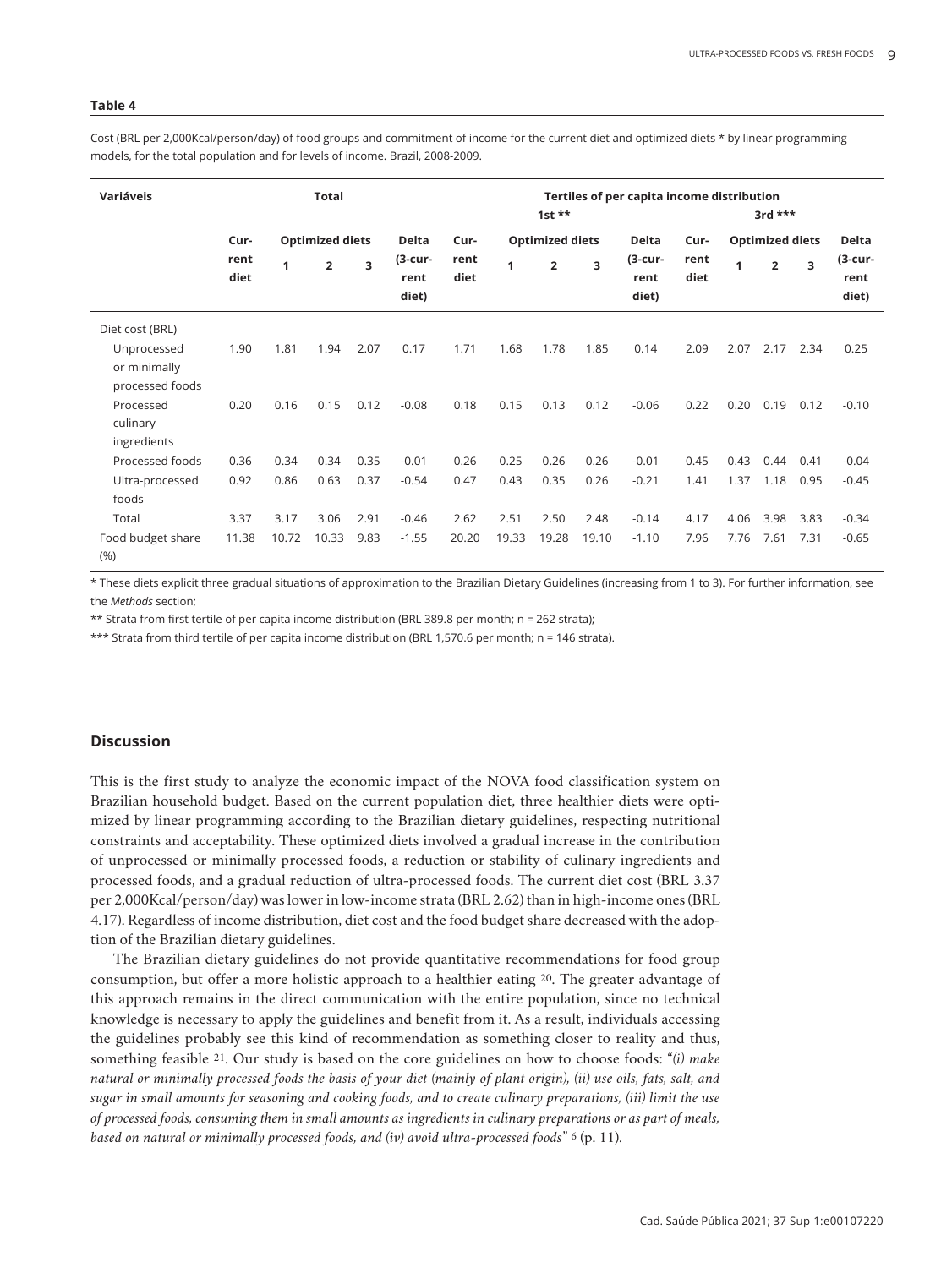Cost (BRL per 2,000Kcal/person/day) of food groups and commitment of income for the current diet and optimized diets \* by linear programming models, for the total population and for levels of income. Brazil, 2008-2009.

| Variáveis                                      | <b>Total</b> |       |                        |      |                             | Tertiles of per capita income distribution<br>$1st**$<br>$3rd$ *** |       |                        |       |                          |              |                        |                |      |                             |
|------------------------------------------------|--------------|-------|------------------------|------|-----------------------------|--------------------------------------------------------------------|-------|------------------------|-------|--------------------------|--------------|------------------------|----------------|------|-----------------------------|
|                                                | Cur-         |       | <b>Optimized diets</b> |      | <b>Delta</b>                | Cur-                                                               |       | <b>Optimized diets</b> |       | <b>Delta</b>             | Cur-         | <b>Optimized diets</b> |                |      | <b>Delta</b>                |
|                                                | rent<br>diet | 1     | $\overline{2}$         | 3    | $(3$ -cur-<br>rent<br>diet) | rent<br>diet                                                       | 1     | $\overline{2}$         | 3     | (3-cur-<br>rent<br>diet) | rent<br>diet | 1                      | $\overline{2}$ | 3    | $(3$ -cur-<br>rent<br>diet) |
| Diet cost (BRL)                                |              |       |                        |      |                             |                                                                    |       |                        |       |                          |              |                        |                |      |                             |
| Unprocessed<br>or minimally<br>processed foods | 1.90         | 1.81  | 1.94                   | 2.07 | 0.17                        | 1.71                                                               | 1.68  | 1.78                   | 1.85  | 0.14                     | 2.09         | 2.07                   | 2.17           | 2.34 | 0.25                        |
| Processed<br>culinary<br>ingredients           | 0.20         | 0.16  | 0.15                   | 0.12 | $-0.08$                     | 0.18                                                               | 0.15  | 0.13                   | 0.12  | $-0.06$                  | 0.22         | 0.20                   | 0.19           | 0.12 | $-0.10$                     |
| Processed foods                                | 0.36         | 0.34  | 0.34                   | 0.35 | $-0.01$                     | 0.26                                                               | 0.25  | 0.26                   | 0.26  | $-0.01$                  | 0.45         | 0.43                   | 0.44           | 0.41 | $-0.04$                     |
| Ultra-processed<br>foods                       | 0.92         | 0.86  | 0.63                   | 0.37 | $-0.54$                     | 0.47                                                               | 0.43  | 0.35                   | 0.26  | $-0.21$                  | 1.41         | 1.37                   | 1.18           | 0.95 | $-0.45$                     |
| Total                                          | 3.37         | 3.17  | 3.06                   | 2.91 | $-0.46$                     | 2.62                                                               | 2.51  | 2.50                   | 2.48  | $-0.14$                  | 4.17         | 4.06                   | 3.98           | 3.83 | $-0.34$                     |
| Food budget share<br>(% )                      | 11.38        | 10.72 | 10.33                  | 9.83 | $-1.55$                     | 20.20                                                              | 19.33 | 19.28                  | 19.10 | $-1.10$                  | 7.96         | 7.76                   | 7.61           | 7.31 | $-0.65$                     |

\* These diets explicit three gradual situations of approximation to the Brazilian Dietary Guidelines (increasing from 1 to 3). For further information, see the *Methods* section;

\*\* Strata from first tertile of per capita income distribution (BRL 389.8 per month; n = 262 strata);

\*\*\* Strata from third tertile of per capita income distribution (BRL 1,570.6 per month; n = 146 strata).

#### **Discussion**

This is the first study to analyze the economic impact of the NOVA food classification system on Brazilian household budget. Based on the current population diet, three healthier diets were optimized by linear programming according to the Brazilian dietary guidelines, respecting nutritional constraints and acceptability. These optimized diets involved a gradual increase in the contribution of unprocessed or minimally processed foods, a reduction or stability of culinary ingredients and processed foods, and a gradual reduction of ultra-processed foods. The current diet cost (BRL 3.37 per 2,000Kcal/person/day) was lower in low-income strata (BRL 2.62) than in high-income ones (BRL 4.17). Regardless of income distribution, diet cost and the food budget share decreased with the adoption of the Brazilian dietary guidelines.

The Brazilian dietary guidelines do not provide quantitative recommendations for food group consumption, but offer a more holistic approach to a healthier eating 20. The greater advantage of this approach remains in the direct communication with the entire population, since no technical knowledge is necessary to apply the guidelines and benefit from it. As a result, individuals accessing the guidelines probably see this kind of recommendation as something closer to reality and thus, something feasible 21. Our study is based on the core guidelines on how to choose foods: "*(i) make natural or minimally processed foods the basis of your diet (mainly of plant origin), (ii) use oils, fats, salt, and sugar in small amounts for seasoning and cooking foods, and to create culinary preparations, (iii) limit the use of processed foods, consuming them in small amounts as ingredients in culinary preparations or as part of meals, based on natural or minimally processed foods, and (iv) avoid ultra-processed foods*" 6 (p. 11).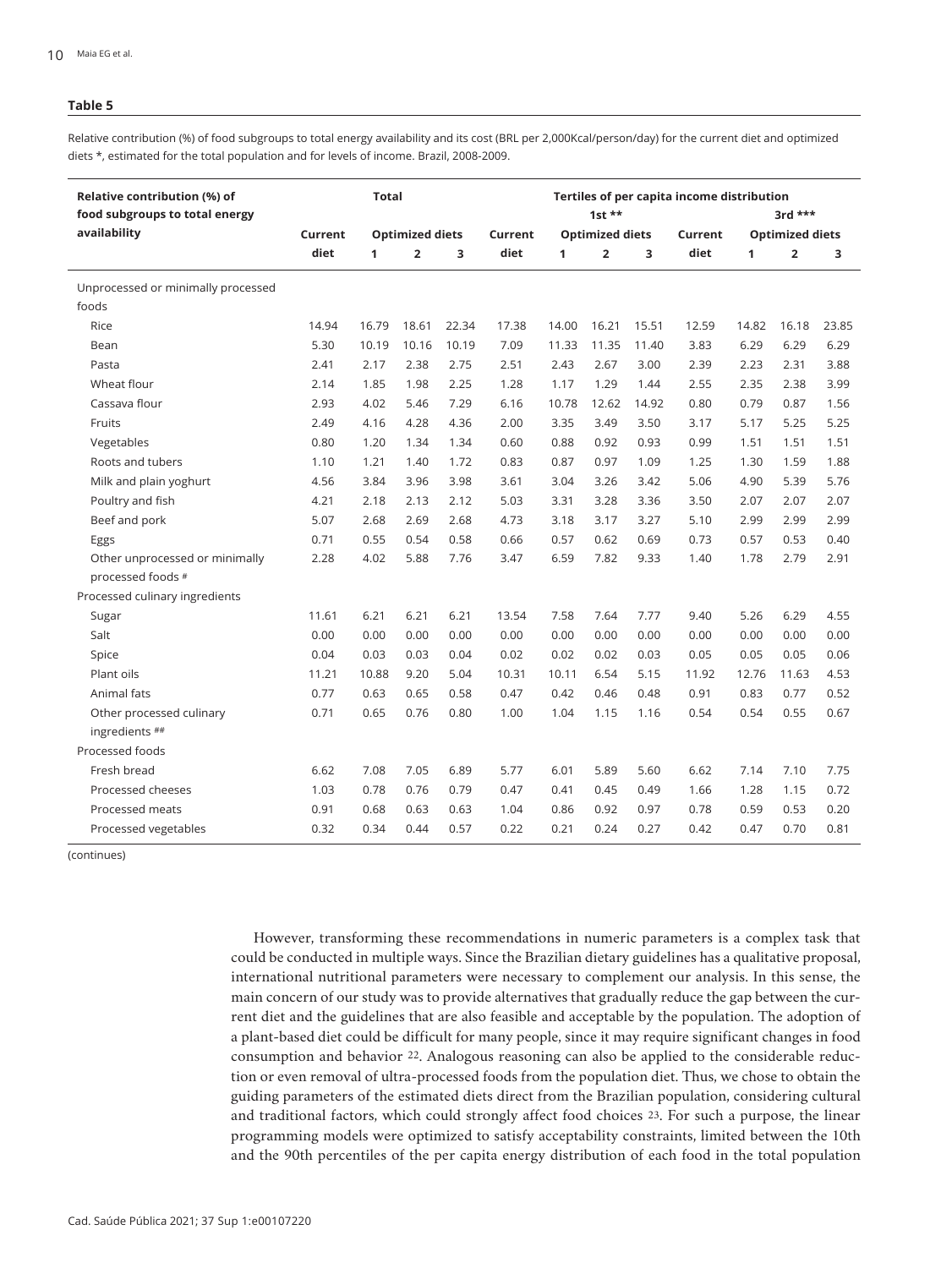Relative contribution (%) of food subgroups to total energy availability and its cost (BRL per 2,000Kcal/person/day) for the current diet and optimized diets \*, estimated for the total population and for levels of income. Brazil, 2008-2009.

| Relative contribution (%) of<br>food subgroups to total energy |                                   | <b>Total</b> |                |       |         | Tertiles of per capita income distribution<br>3rd *** |                |       |       |              |                         |       |  |  |
|----------------------------------------------------------------|-----------------------------------|--------------|----------------|-------|---------|-------------------------------------------------------|----------------|-------|-------|--------------|-------------------------|-------|--|--|
| availability                                                   | <b>Optimized diets</b><br>Current |              |                |       | Current | 1st $**$<br><b>Optimized diets</b><br>Current         |                |       |       |              | <b>Optimized diets</b>  |       |  |  |
|                                                                | diet                              | 1            | $\overline{2}$ | 3     | diet    | 1                                                     | $\overline{2}$ | 3     | diet  | $\mathbf{1}$ | $\overline{\mathbf{2}}$ | 3     |  |  |
| Unprocessed or minimally processed                             |                                   |              |                |       |         |                                                       |                |       |       |              |                         |       |  |  |
| foods                                                          |                                   |              |                |       |         |                                                       |                |       |       |              |                         |       |  |  |
| Rice                                                           | 14.94                             | 16.79        | 18.61          | 22.34 | 17.38   | 14.00                                                 | 16.21          | 15.51 | 12.59 | 14.82        | 16.18                   | 23.85 |  |  |
| Bean                                                           | 5.30                              | 10.19        | 10.16          | 10.19 | 7.09    | 11.33                                                 | 11.35          | 11.40 | 3.83  | 6.29         | 6.29                    | 6.29  |  |  |
| Pasta                                                          | 2.41                              | 2.17         | 2.38           | 2.75  | 2.51    | 2.43                                                  | 2.67           | 3.00  | 2.39  | 2.23         | 2.31                    | 3.88  |  |  |
| Wheat flour                                                    | 2.14                              | 1.85         | 1.98           | 2.25  | 1.28    | 1.17                                                  | 1.29           | 1.44  | 2.55  | 2.35         | 2.38                    | 3.99  |  |  |
| Cassava flour                                                  | 2.93                              | 4.02         | 5.46           | 7.29  | 6.16    | 10.78                                                 | 12.62          | 14.92 | 0.80  | 0.79         | 0.87                    | 1.56  |  |  |
| Fruits                                                         | 2.49                              | 4.16         | 4.28           | 4.36  | 2.00    | 3.35                                                  | 3.49           | 3.50  | 3.17  | 5.17         | 5.25                    | 5.25  |  |  |
| Vegetables                                                     | 0.80                              | 1.20         | 1.34           | 1.34  | 0.60    | 0.88                                                  | 0.92           | 0.93  | 0.99  | 1.51         | 1.51                    | 1.51  |  |  |
| Roots and tubers                                               | 1.10                              | 1.21         | 1.40           | 1.72  | 0.83    | 0.87                                                  | 0.97           | 1.09  | 1.25  | 1.30         | 1.59                    | 1.88  |  |  |
| Milk and plain yoghurt                                         | 4.56                              | 3.84         | 3.96           | 3.98  | 3.61    | 3.04                                                  | 3.26           | 3.42  | 5.06  | 4.90         | 5.39                    | 5.76  |  |  |
| Poultry and fish                                               | 4.21                              | 2.18         | 2.13           | 2.12  | 5.03    | 3.31                                                  | 3.28           | 3.36  | 3.50  | 2.07         | 2.07                    | 2.07  |  |  |
| Beef and pork                                                  | 5.07                              | 2.68         | 2.69           | 2.68  | 4.73    | 3.18                                                  | 3.17           | 3.27  | 5.10  | 2.99         | 2.99                    | 2.99  |  |  |
| Eggs                                                           | 0.71                              | 0.55         | 0.54           | 0.58  | 0.66    | 0.57                                                  | 0.62           | 0.69  | 0.73  | 0.57         | 0.53                    | 0.40  |  |  |
| Other unprocessed or minimally                                 | 2.28                              | 4.02         | 5.88           | 7.76  | 3.47    | 6.59                                                  | 7.82           | 9.33  | 1.40  | 1.78         | 2.79                    | 2.91  |  |  |
| processed foods #                                              |                                   |              |                |       |         |                                                       |                |       |       |              |                         |       |  |  |
| Processed culinary ingredients                                 |                                   |              |                |       |         |                                                       |                |       |       |              |                         |       |  |  |
| Sugar                                                          | 11.61                             | 6.21         | 6.21           | 6.21  | 13.54   | 7.58                                                  | 7.64           | 7.77  | 9.40  | 5.26         | 6.29                    | 4.55  |  |  |
| Salt                                                           | 0.00                              | 0.00         | 0.00           | 0.00  | 0.00    | 0.00                                                  | 0.00           | 0.00  | 0.00  | 0.00         | 0.00                    | 0.00  |  |  |
| Spice                                                          | 0.04                              | 0.03         | 0.03           | 0.04  | 0.02    | 0.02                                                  | 0.02           | 0.03  | 0.05  | 0.05         | 0.05                    | 0.06  |  |  |
| Plant oils                                                     | 11.21                             | 10.88        | 9.20           | 5.04  | 10.31   | 10.11                                                 | 6.54           | 5.15  | 11.92 | 12.76        | 11.63                   | 4.53  |  |  |
| Animal fats                                                    | 0.77                              | 0.63         | 0.65           | 0.58  | 0.47    | 0.42                                                  | 0.46           | 0.48  | 0.91  | 0.83         | 0.77                    | 0.52  |  |  |
| Other processed culinary                                       | 0.71                              | 0.65         | 0.76           | 0.80  | 1.00    | 1.04                                                  | 1.15           | 1.16  | 0.54  | 0.54         | 0.55                    | 0.67  |  |  |
| ingredients ##                                                 |                                   |              |                |       |         |                                                       |                |       |       |              |                         |       |  |  |
| Processed foods                                                |                                   |              |                |       |         |                                                       |                |       |       |              |                         |       |  |  |
| Fresh bread                                                    | 6.62                              | 7.08         | 7.05           | 6.89  | 5.77    | 6.01                                                  | 5.89           | 5.60  | 6.62  | 7.14         | 7.10                    | 7.75  |  |  |
| Processed cheeses                                              | 1.03                              | 0.78         | 0.76           | 0.79  | 0.47    | 0.41                                                  | 0.45           | 0.49  | 1.66  | 1.28         | 1.15                    | 0.72  |  |  |
| Processed meats                                                | 0.91                              | 0.68         | 0.63           | 0.63  | 1.04    | 0.86                                                  | 0.92           | 0.97  | 0.78  | 0.59         | 0.53                    | 0.20  |  |  |
| Processed vegetables                                           | 0.32                              | 0.34         | 0.44           | 0.57  | 0.22    | 0.21                                                  | 0.24           | 0.27  | 0.42  | 0.47         | 0.70                    | 0.81  |  |  |

(continues)

However, transforming these recommendations in numeric parameters is a complex task that could be conducted in multiple ways. Since the Brazilian dietary guidelines has a qualitative proposal, international nutritional parameters were necessary to complement our analysis. In this sense, the main concern of our study was to provide alternatives that gradually reduce the gap between the current diet and the guidelines that are also feasible and acceptable by the population. The adoption of a plant-based diet could be difficult for many people, since it may require significant changes in food consumption and behavior 22. Analogous reasoning can also be applied to the considerable reduction or even removal of ultra-processed foods from the population diet. Thus, we chose to obtain the guiding parameters of the estimated diets direct from the Brazilian population, considering cultural and traditional factors, which could strongly affect food choices 23. For such a purpose, the linear programming models were optimized to satisfy acceptability constraints, limited between the 10th and the 90th percentiles of the per capita energy distribution of each food in the total population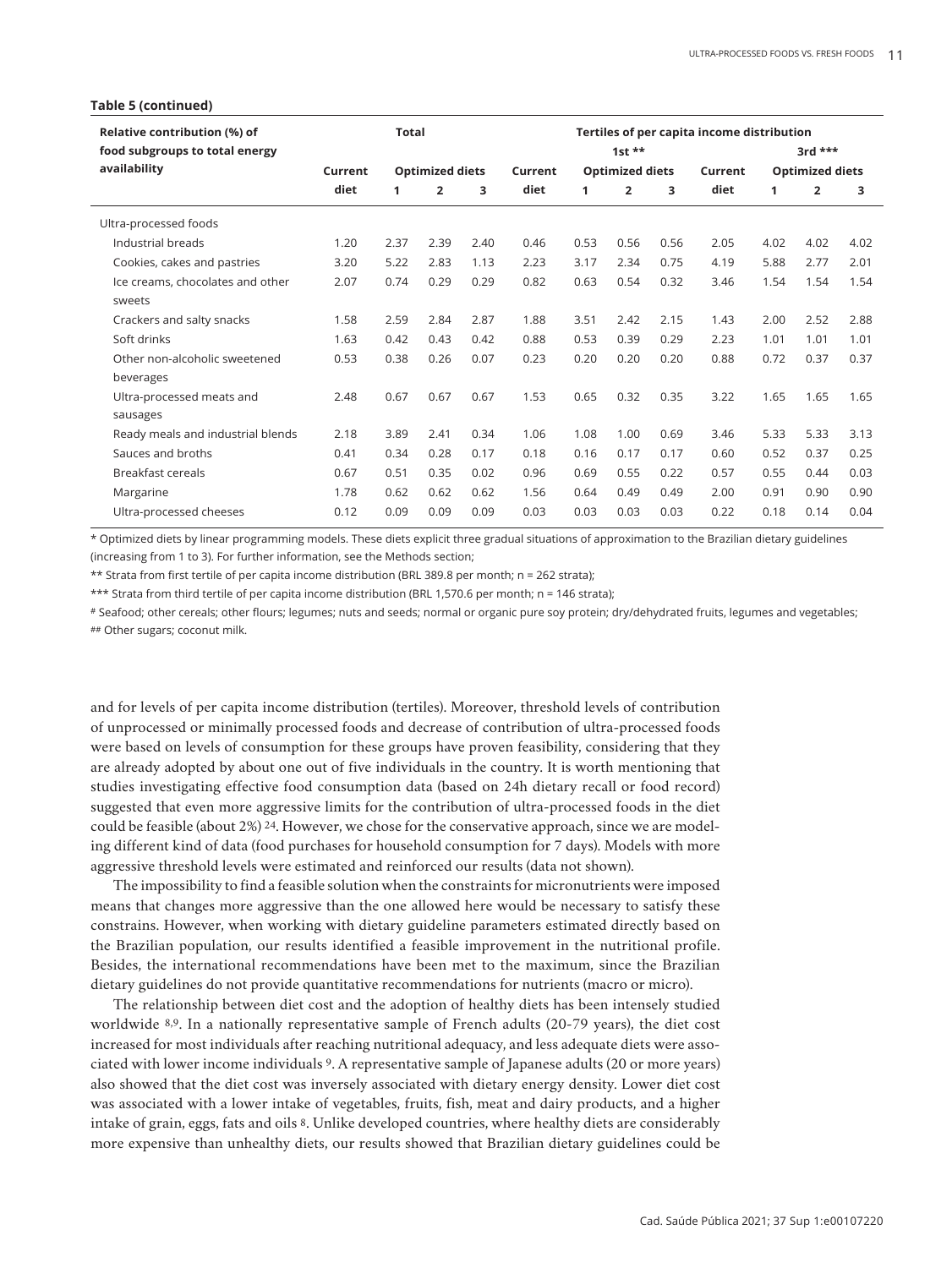#### **Table 5 (continued)**

| Relative contribution (%) of<br>food subgroups to total energy |                                   | Total |                |         | Tertiles of per capita income distribution<br>$1st$ ** |                        |                |         |                        |      | $3rd$ ***      |      |  |
|----------------------------------------------------------------|-----------------------------------|-------|----------------|---------|--------------------------------------------------------|------------------------|----------------|---------|------------------------|------|----------------|------|--|
| availability                                                   | <b>Optimized diets</b><br>Current |       |                | Current |                                                        | <b>Optimized diets</b> |                | Current | <b>Optimized diets</b> |      |                |      |  |
|                                                                | diet                              | 1     | $\overline{2}$ | 3       | diet                                                   | 1                      | $\overline{2}$ | 3       | diet                   | 1    | $\overline{2}$ | 3    |  |
| Ultra-processed foods                                          |                                   |       |                |         |                                                        |                        |                |         |                        |      |                |      |  |
| Industrial breads                                              | 1.20                              | 2.37  | 2.39           | 2.40    | 0.46                                                   | 0.53                   | 0.56           | 0.56    | 2.05                   | 4.02 | 4.02           | 4.02 |  |
| Cookies, cakes and pastries                                    | 3.20                              | 5.22  | 2.83           | 1.13    | 2.23                                                   | 3.17                   | 2.34           | 0.75    | 4.19                   | 5.88 | 2.77           | 2.01 |  |
| Ice creams, chocolates and other                               | 2.07                              | 0.74  | 0.29           | 0.29    | 0.82                                                   | 0.63                   | 0.54           | 0.32    | 3.46                   | 1.54 | 1.54           | 1.54 |  |
| sweets                                                         |                                   |       |                |         |                                                        |                        |                |         |                        |      |                |      |  |
| Crackers and salty snacks                                      | 1.58                              | 2.59  | 2.84           | 2.87    | 1.88                                                   | 3.51                   | 2.42           | 2.15    | 1.43                   | 2.00 | 2.52           | 2.88 |  |
| Soft drinks                                                    | 1.63                              | 0.42  | 0.43           | 0.42    | 0.88                                                   | 0.53                   | 0.39           | 0.29    | 2.23                   | 1.01 | 1.01           | 1.01 |  |
| Other non-alcoholic sweetened                                  | 0.53                              | 0.38  | 0.26           | 0.07    | 0.23                                                   | 0.20                   | 0.20           | 0.20    | 0.88                   | 0.72 | 0.37           | 0.37 |  |
| beverages                                                      |                                   |       |                |         |                                                        |                        |                |         |                        |      |                |      |  |
| Ultra-processed meats and                                      | 2.48                              | 0.67  | 0.67           | 0.67    | 1.53                                                   | 0.65                   | 0.32           | 0.35    | 3.22                   | 1.65 | 1.65           | 1.65 |  |
| sausages                                                       |                                   |       |                |         |                                                        |                        |                |         |                        |      |                |      |  |
| Ready meals and industrial blends                              | 2.18                              | 3.89  | 2.41           | 0.34    | 1.06                                                   | 1.08                   | 1.00           | 0.69    | 3.46                   | 5.33 | 5.33           | 3.13 |  |
| Sauces and broths                                              | 0.41                              | 0.34  | 0.28           | 0.17    | 0.18                                                   | 0.16                   | 0.17           | 0.17    | 0.60                   | 0.52 | 0.37           | 0.25 |  |
| Breakfast cereals                                              | 0.67                              | 0.51  | 0.35           | 0.02    | 0.96                                                   | 0.69                   | 0.55           | 0.22    | 0.57                   | 0.55 | 0.44           | 0.03 |  |
| Margarine                                                      | 1.78                              | 0.62  | 0.62           | 0.62    | 1.56                                                   | 0.64                   | 0.49           | 0.49    | 2.00                   | 0.91 | 0.90           | 0.90 |  |
| Ultra-processed cheeses                                        | 0.12                              | 0.09  | 0.09           | 0.09    | 0.03                                                   | 0.03                   | 0.03           | 0.03    | 0.22                   | 0.18 | 0.14           | 0.04 |  |

\* Optimized diets by linear programming models. These diets explicit three gradual situations of approximation to the Brazilian dietary guidelines (increasing from 1 to 3). For further information, see the Methods section;

\*\* Strata from first tertile of per capita income distribution (BRL 389.8 per month; n = 262 strata);

\*\*\* Strata from third tertile of per capita income distribution (BRL 1,570.6 per month; n = 146 strata);

# Seafood; other cereals; other flours; legumes; nuts and seeds; normal or organic pure soy protein; dry/dehydrated fruits, legumes and vegetables; ## Other sugars; coconut milk.

and for levels of per capita income distribution (tertiles). Moreover, threshold levels of contribution of unprocessed or minimally processed foods and decrease of contribution of ultra-processed foods were based on levels of consumption for these groups have proven feasibility, considering that they are already adopted by about one out of five individuals in the country. It is worth mentioning that studies investigating effective food consumption data (based on 24h dietary recall or food record) suggested that even more aggressive limits for the contribution of ultra-processed foods in the diet could be feasible (about 2%) 24. However, we chose for the conservative approach, since we are modeling different kind of data (food purchases for household consumption for 7 days). Models with more aggressive threshold levels were estimated and reinforced our results (data not shown).

The impossibility to find a feasible solution when the constraints for micronutrients were imposed means that changes more aggressive than the one allowed here would be necessary to satisfy these constrains. However, when working with dietary guideline parameters estimated directly based on the Brazilian population, our results identified a feasible improvement in the nutritional profile. Besides, the international recommendations have been met to the maximum, since the Brazilian dietary guidelines do not provide quantitative recommendations for nutrients (macro or micro).

The relationship between diet cost and the adoption of healthy diets has been intensely studied worldwide 8,9. In a nationally representative sample of French adults (20-79 years), the diet cost increased for most individuals after reaching nutritional adequacy, and less adequate diets were associated with lower income individuals 9. A representative sample of Japanese adults (20 or more years) also showed that the diet cost was inversely associated with dietary energy density. Lower diet cost was associated with a lower intake of vegetables, fruits, fish, meat and dairy products, and a higher intake of grain, eggs, fats and oils 8. Unlike developed countries, where healthy diets are considerably more expensive than unhealthy diets, our results showed that Brazilian dietary guidelines could be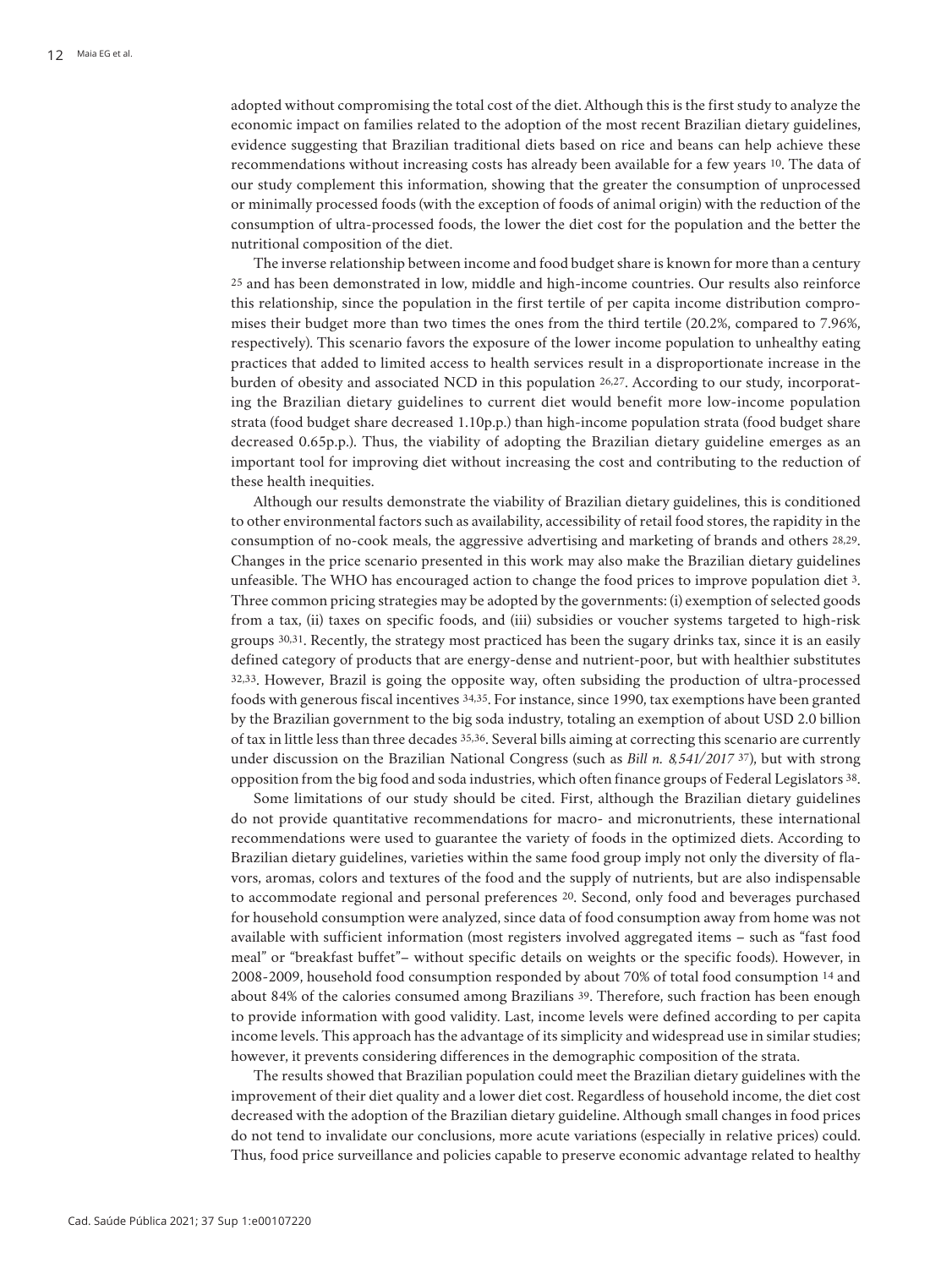adopted without compromising the total cost of the diet. Although this is the first study to analyze the economic impact on families related to the adoption of the most recent Brazilian dietary guidelines, evidence suggesting that Brazilian traditional diets based on rice and beans can help achieve these recommendations without increasing costs has already been available for a few years 10. The data of our study complement this information, showing that the greater the consumption of unprocessed or minimally processed foods (with the exception of foods of animal origin) with the reduction of the consumption of ultra-processed foods, the lower the diet cost for the population and the better the nutritional composition of the diet.

The inverse relationship between income and food budget share is known for more than a century 25 and has been demonstrated in low, middle and high-income countries. Our results also reinforce this relationship, since the population in the first tertile of per capita income distribution compromises their budget more than two times the ones from the third tertile (20.2%, compared to 7.96%, respectively). This scenario favors the exposure of the lower income population to unhealthy eating practices that added to limited access to health services result in a disproportionate increase in the burden of obesity and associated NCD in this population 26,27. According to our study, incorporating the Brazilian dietary guidelines to current diet would benefit more low-income population strata (food budget share decreased 1.10p.p.) than high-income population strata (food budget share decreased 0.65p.p.). Thus, the viability of adopting the Brazilian dietary guideline emerges as an important tool for improving diet without increasing the cost and contributing to the reduction of these health inequities.

Although our results demonstrate the viability of Brazilian dietary guidelines, this is conditioned to other environmental factors such as availability, accessibility of retail food stores, the rapidity in the consumption of no-cook meals, the aggressive advertising and marketing of brands and others 28,29. Changes in the price scenario presented in this work may also make the Brazilian dietary guidelines unfeasible. The WHO has encouraged action to change the food prices to improve population diet 3. Three common pricing strategies may be adopted by the governments: (i) exemption of selected goods from a tax, (ii) taxes on specific foods, and (iii) subsidies or voucher systems targeted to high-risk groups 30,31. Recently, the strategy most practiced has been the sugary drinks tax, since it is an easily defined category of products that are energy-dense and nutrient-poor, but with healthier substitutes 32,33. However, Brazil is going the opposite way, often subsiding the production of ultra-processed foods with generous fiscal incentives 34,35. For instance, since 1990, tax exemptions have been granted by the Brazilian government to the big soda industry, totaling an exemption of about USD 2.0 billion of tax in little less than three decades 35,36. Several bills aiming at correcting this scenario are currently under discussion on the Brazilian National Congress (such as *Bill n. 8,541/2017* 37), but with strong opposition from the big food and soda industries, which often finance groups of Federal Legislators 38.

Some limitations of our study should be cited. First, although the Brazilian dietary guidelines do not provide quantitative recommendations for macro- and micronutrients, these international recommendations were used to guarantee the variety of foods in the optimized diets. According to Brazilian dietary guidelines, varieties within the same food group imply not only the diversity of flavors, aromas, colors and textures of the food and the supply of nutrients, but are also indispensable to accommodate regional and personal preferences 20. Second, only food and beverages purchased for household consumption were analyzed, since data of food consumption away from home was not available with sufficient information (most registers involved aggregated items – such as "fast food meal" or "breakfast buffet"– without specific details on weights or the specific foods). However, in 2008-2009, household food consumption responded by about 70% of total food consumption 14 and about 84% of the calories consumed among Brazilians 39. Therefore, such fraction has been enough to provide information with good validity. Last, income levels were defined according to per capita income levels. This approach has the advantage of its simplicity and widespread use in similar studies; however, it prevents considering differences in the demographic composition of the strata.

The results showed that Brazilian population could meet the Brazilian dietary guidelines with the improvement of their diet quality and a lower diet cost. Regardless of household income, the diet cost decreased with the adoption of the Brazilian dietary guideline. Although small changes in food prices do not tend to invalidate our conclusions, more acute variations (especially in relative prices) could. Thus, food price surveillance and policies capable to preserve economic advantage related to healthy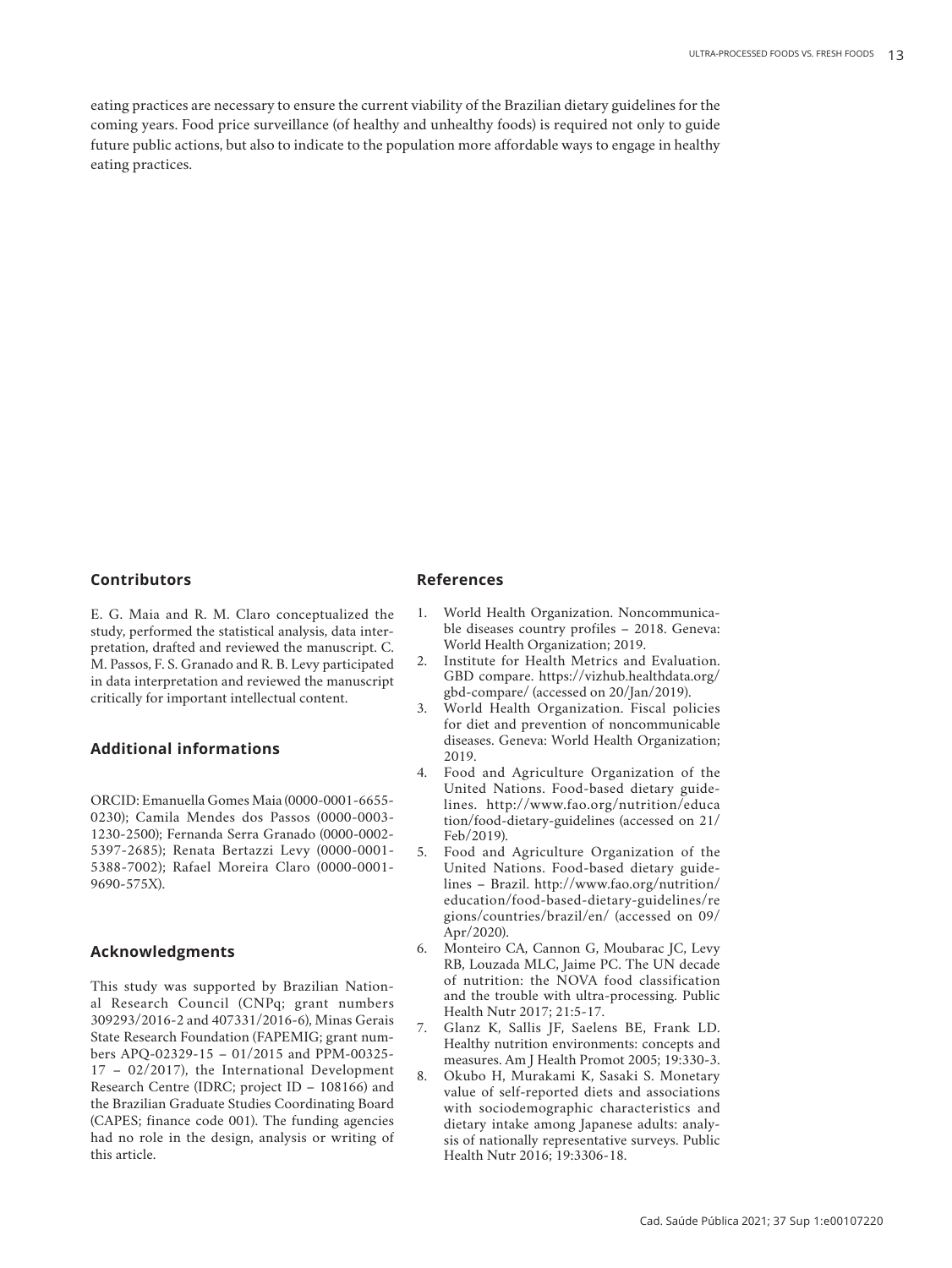eating practices are necessary to ensure the current viability of the Brazilian dietary guidelines for the coming years. Food price surveillance (of healthy and unhealthy foods) is required not only to guide future public actions, but also to indicate to the population more affordable ways to engage in healthy eating practices.

#### **Contributors**

E. G. Maia and R. M. Claro conceptualized the study, performed the statistical analysis, data interpretation, drafted and reviewed the manuscript. C. M. Passos, F. S. Granado and R. B. Levy participated in data interpretation and reviewed the manuscript critically for important intellectual content.

# **Additional informations**

ORCID: Emanuella Gomes Maia (0000-0001-6655- 0230); Camila Mendes dos Passos (0000-0003- 1230-2500); Fernanda Serra Granado (0000-0002- 5397-2685); Renata Bertazzi Levy (0000-0001- 5388-7002); Rafael Moreira Claro (0000-0001- 9690-575X).

# **Acknowledgments**

This study was supported by Brazilian National Research Council (CNPq; grant numbers 309293/2016-2 and 407331/2016-6), Minas Gerais State Research Foundation (FAPEMIG; grant numbers APQ-02329-15 – 01/2015 and PPM-00325- 17 – 02/2017), the International Development Research Centre (IDRC; project ID – 108166) and the Brazilian Graduate Studies Coordinating Board (CAPES; finance code 001). The funding agencies had no role in the design, analysis or writing of this article.

#### **References**

- 1. World Health Organization. Noncommunicable diseases country profiles – 2018. Geneva: World Health Organization; 2019.
- 2. Institute for Health Metrics and Evaluation. GBD compare. https://vizhub.healthdata.org/ gbd-compare/ (accessed on 20/Jan/2019).
- 3. World Health Organization. Fiscal policies for diet and prevention of noncommunicable diseases. Geneva: World Health Organization; 2019.
- 4. Food and Agriculture Organization of the United Nations. Food-based dietary guidelines. http://www.fao.org/nutrition/educa tion/food-dietary-guidelines (accessed on 21/ Feb/2019).
- 5. Food and Agriculture Organization of the United Nations. Food-based dietary guidelines – Brazil. http://www.fao.org/nutrition/ education/food-based-dietary-guidelines/re gions/countries/brazil/en/ (accessed on 09/ Apr/2020).
- 6. Monteiro CA, Cannon G, Moubarac JC, Levy RB, Louzada MLC, Jaime PC. The UN decade of nutrition: the NOVA food classification and the trouble with ultra-processing. Public Health Nutr 2017; 21:5-17.
- 7. Glanz K, Sallis JF, Saelens BE, Frank LD. Healthy nutrition environments: concepts and measures. Am J Health Promot 2005; 19:330-3.
- 8. Okubo H, Murakami K, Sasaki S. Monetary value of self-reported diets and associations with sociodemographic characteristics and dietary intake among Japanese adults: analysis of nationally representative surveys. Public Health Nutr 2016; 19:3306-18.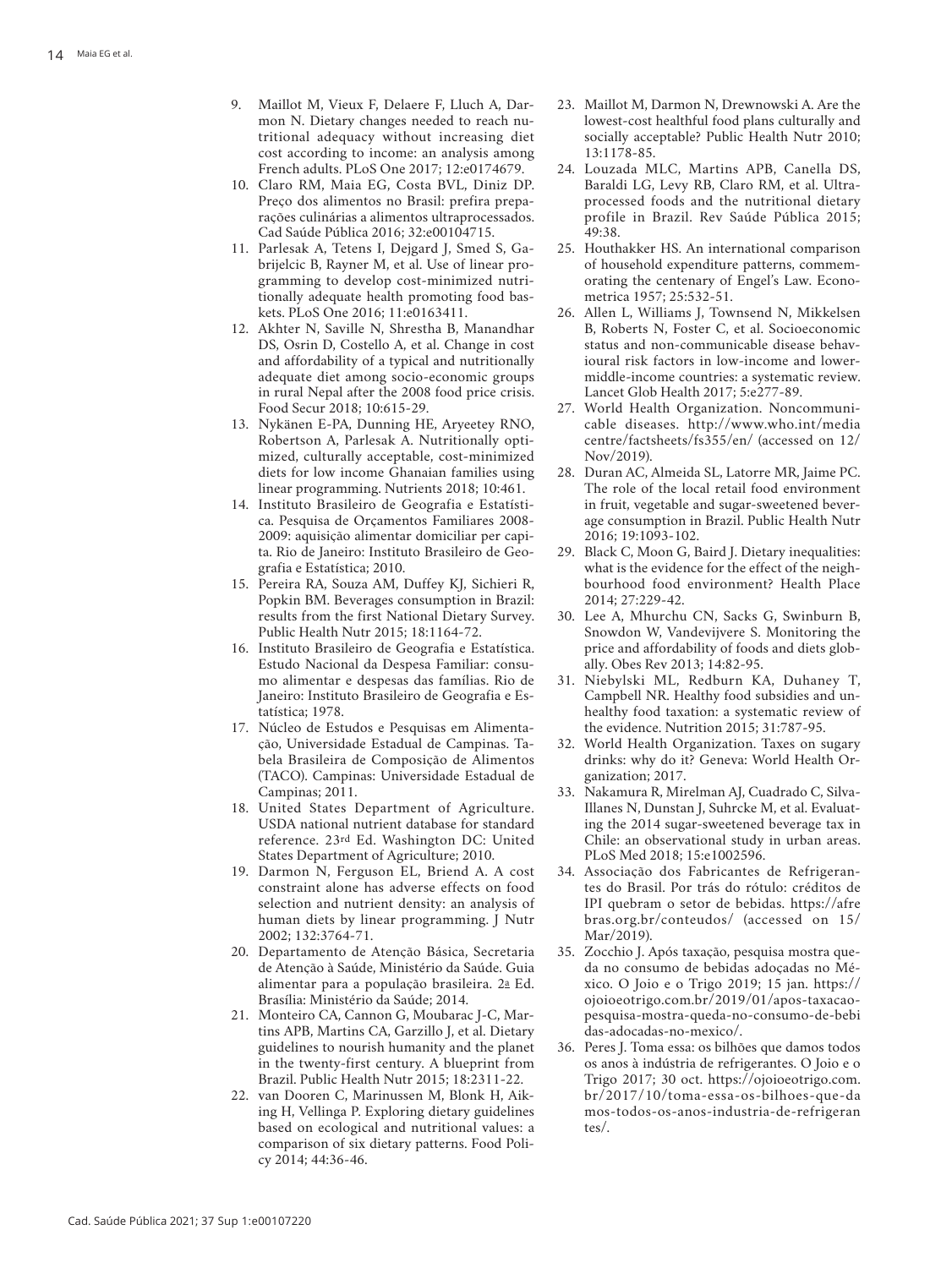- 9. Maillot M, Vieux F, Delaere F, Lluch A, Dar mon N. Dietary changes needed to reach nu tritional adequacy without increasing diet cost according to income: an analysis among French adults. PLoS One 2017; 12:e0174679.
- 10. Claro RM, Maia EG, Costa BVL, Diniz DP. Preço dos alimentos no Brasil: prefira prepa rações culinárias a alimentos ultraprocessados. Cad Saúde Pública 2016; 32:e00104715.
- 11. Parlesak A, Tetens I, Dejgard J, Smed S, Ga brijelcic B, Rayner M, et al. Use of linear pro gramming to develop cost-minimized nutri tionally adequate health promoting food bas kets. PLoS One 2016; 11:e0163411.
- 12. Akhter N, Saville N, Shrestha B, Manandhar DS, Osrin D, Costello A, et al. Change in cost and affordability of a typical and nutritionally adequate diet among socio-economic groups in rural Nepal after the 2008 food price crisis. Food Secur 2018; 10:615-29.
- 13. Nykänen E-PA, Dunning HE, Aryeetey RNO, Robertson A, Parlesak A. Nutritionally opti mized, culturally acceptable, cost-minimized diets for low income Ghanaian families using linear programming. Nutrients 2018; 10:461.
- 14. Instituto Brasileiro de Geografia e Estatísti ca. Pesquisa de Orçamentos Familiares 2008- 2009: aquisição alimentar domiciliar per capi ta. Rio de Janeiro: Instituto Brasileiro de Geo grafia e Estatística; 2010.
- 15. Pereira RA, Souza AM, Duffey KJ, Sichieri R, Popkin BM. Beverages consumption in Brazil: results from the first National Dietary Survey. Public Health Nutr 2015; 18:1164-72.
- 16. Instituto Brasileiro de Geografia e Estatística. Estudo Nacional da Despesa Familiar: consu mo alimentar e despesas das famílias. Rio de Janeiro: Instituto Brasileiro de Geografia e Es tatística; 1978.
- 17. Núcleo de Estudos e Pesquisas em Alimenta ção, Universidade Estadual de Campinas. Ta bela Brasileira de Composição de Alimentos (TACO). Campinas: Universidade Estadual de Campinas; 2011.
- 18. United States Department of Agriculture. USDA national nutrient database for standard reference. 23rd Ed. Washington DC: United States Department of Agriculture; 2010.
- 19. Darmon N, Ferguson EL, Briend A. A cost constraint alone has adverse effects on food selection and nutrient density: an analysis of human diets by linear programming. J Nutr 2002; 132:3764-71.
- 20. Departamento de Atenção Básica, Secretaria de Atenção à Saúde, Ministério da Saúde. Guia alimentar para a população brasileira. 2 a Ed. Brasília: Ministério da Saúde; 2014.
- 21. Monteiro CA, Cannon G, Moubarac J-C, Mar tins APB, Martins CA, Garzillo J, et al. Dietary guidelines to nourish humanity and the planet in the twenty-first century. A blueprint from Brazil. Public Health Nutr 2015; 18:2311-22.
- 22. van Dooren C, Marinussen M, Blonk H, Aik ing H, Vellinga P. Exploring dietary guidelines based on ecological and nutritional values: a comparison of six dietary patterns. Food Poli cy 2014; 44:36-46.
- 23. Maillot M, Darmon N, Drewnowski A. Are the lowest-cost healthful food plans culturally and socially acceptable? Public Health Nutr 2010; 13:1178-85.
- 24. Louzada MLC, Martins APB, Canella DS, Baraldi LG, Levy RB, Claro RM, et al. Ultraprocessed foods and the nutritional dietary profile in Brazil. Rev Saúde Pública 2015; 49:38.
- 25. Houthakker HS. An international comparison of household expenditure patterns, commem orating the centenary of Engel's Law. Econo metrica 1957; 25:532-51.
- 26. Allen L, Williams J, Townsend N, Mikkelsen B, Roberts N, Foster C, et al. Socioeconomic status and non-communicable disease behav ioural risk factors in low-income and lowermiddle-income countries: a systematic review. Lancet Glob Health 2017; 5:e277-89.
- 27. World Health Organization. Noncommuni cable diseases. http://www.who.int/media centre/factsheets/fs355/en/ (accessed on 12/ Nov/2019).
- 28. Duran AC, Almeida SL, Latorre MR, Jaime PC. The role of the local retail food environment in fruit, vegetable and sugar-sweetened bever age consumption in Brazil. Public Health Nutr 2016; 19:1093-102.
- 29. Black C, Moon G, Baird J. Dietary inequalities: what is the evidence for the effect of the neigh bourhood food environment? Health Place 2014; 27:229-42.
- 30. Lee A, Mhurchu CN, Sacks G, Swinburn B, Snowdon W, Vandevijvere S. Monitoring the price and affordability of foods and diets glob ally. Obes Rev 2013; 14:82-95.
- 31. Niebylski ML, Redburn KA, Duhaney T, Campbell NR. Healthy food subsidies and un healthy food taxation: a systematic review of the evidence. Nutrition 2015; 31:787-95.
- 32. World Health Organization. Taxes on sugary drinks: why do it? Geneva: World Health Or ganization; 2017.
- 33. Nakamura R, Mirelman AJ, Cuadrado C, Silva-Illanes N, Dunstan J, Suhrcke M, et al. Evaluating the 2014 sugar-sweetened beverage tax in Chile: an observational study in urban areas. PLoS Med 2018; 15:e1002596.
- 34. Associação dos Fabricantes de Refrigeran tes do Brasil. Por trás do rótulo: créditos de IPI quebram o setor de bebidas. https://afre bras.org.br/conteudos/ (accessed on 15/ Mar/2019).
- 35. Zocchio J. Após taxação, pesquisa mostra que da no consumo de bebidas adoçadas no Mé xico. O Joio e o Trigo 2019; 15 jan. https:// ojoioeotrigo.com.br/2019/01/apos-taxacaopesquisa-mostra-queda-no-consumo-de-bebi das-adocadas-no-mexico/.
- 36. Peres J. Toma essa: os bilhões que damos todos os anos à indústria de refrigerantes. O Joio e o Trigo 2017; 30 oct. https://ojoioeotrigo.com. br/2017/10/toma-essa-os-bilhoes-que-da mos-todos-os-anos-industria-de-refrigeran tes/.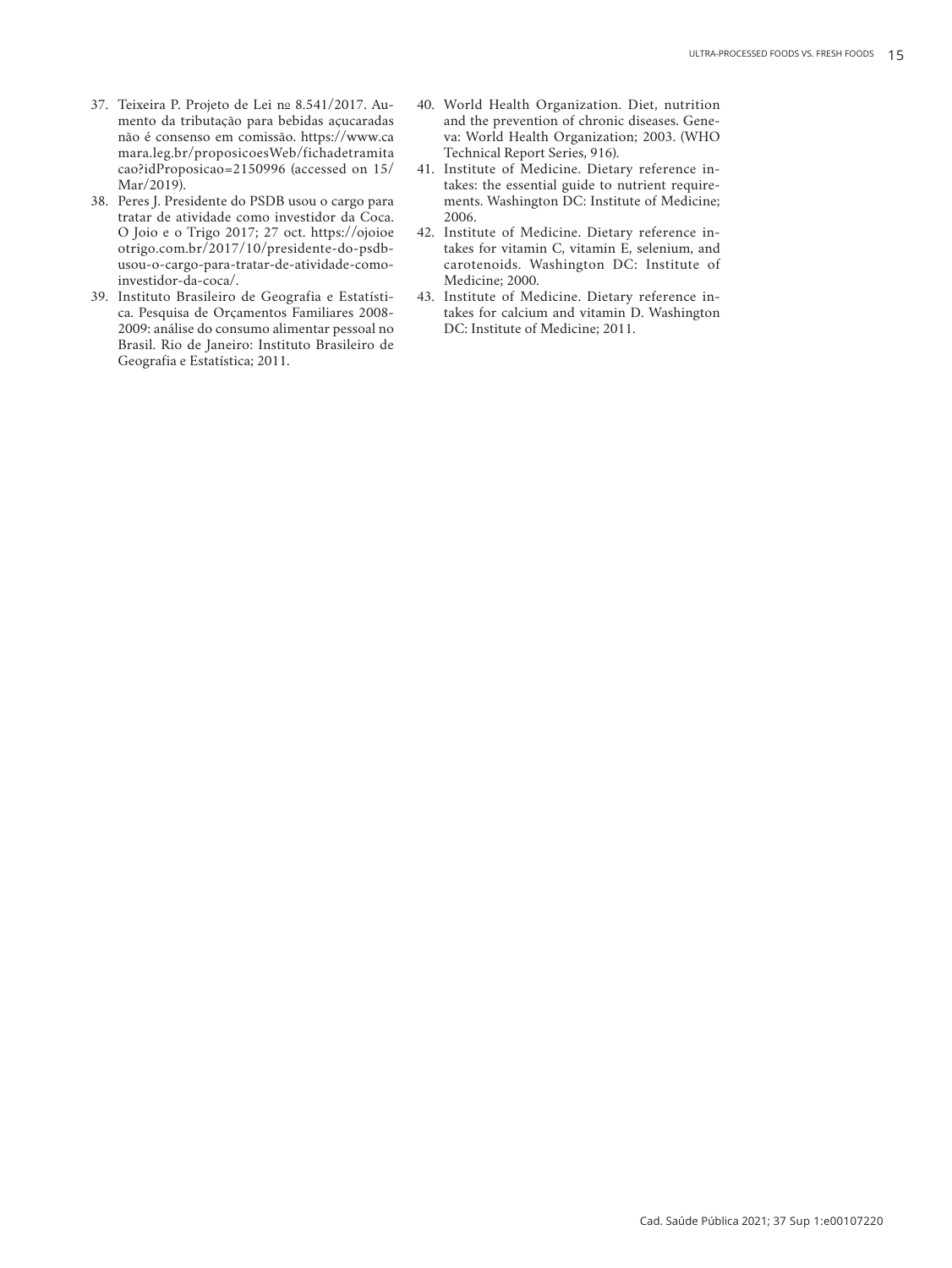- 37. Teixeira P. Projeto de Lei nº 8.541/2017. Aumento da tributação para bebidas açucaradas não é consenso em comissão. https://www.ca mara.leg.br/proposicoesWeb/fichadetramita cao?idProposicao=2150996 (accessed on 15/ Mar/2019).
- 38. Peres J. Presidente do PSDB usou o cargo para tratar de atividade como investidor da Coca. O Joio e o Trigo 2017; 27 oct. https://ojoioe otrigo.com.br/2017/10/presidente-do-psdbusou-o-cargo-para-tratar-de-atividade-comoinvestidor-da-coca/.
- 39. Instituto Brasileiro de Geografia e Estatística. Pesquisa de Orçamentos Familiares 2008- 2009: análise do consumo alimentar pessoal no Brasil. Rio de Janeiro: Instituto Brasileiro de Geografia e Estatística; 2011.
- 40. World Health Organization. Diet, nutrition and the prevention of chronic diseases. Geneva: World Health Organization; 2003. (WHO Technical Report Series, 916).
- 41. Institute of Medicine. Dietary reference intakes: the essential guide to nutrient requirements. Washington DC: Institute of Medicine; 2006.
- 42. Institute of Medicine. Dietary reference intakes for vitamin C, vitamin E, selenium, and carotenoids. Washington DC: Institute of Medicine; 2000.
- 43. Institute of Medicine. Dietary reference intakes for calcium and vitamin D. Washington DC: Institute of Medicine; 2011.